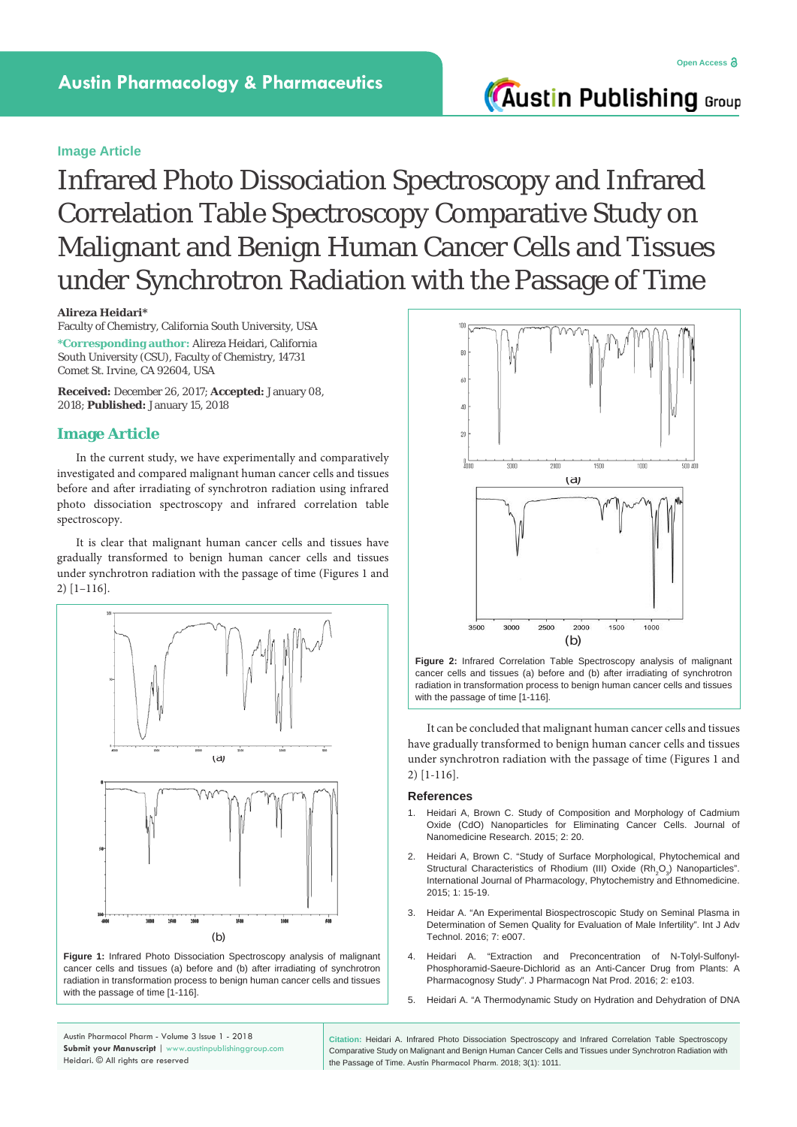# **Austin Publishing Group**

### **Image Article**

Infrared Photo Dissociation Spectroscopy and Infrared Correlation Table Spectroscopy Comparative Study on Malignant and Benign Human Cancer Cells and Tissues under Synchrotron Radiation with the Passage of Time

**Alireza Heidari\***

Faculty of Chemistry, California South University, USA **\*Corresponding author:** Alireza Heidari, California South University (CSU), Faculty of Chemistry, 14731 Comet St. Irvine, CA 92604, USA

**Received:** December 26, 2017; **Accepted:** January 08, 2018; **Published:** January 15, 2018

## **Image Article**

In the current study, we have experimentally and comparatively investigated and compared malignant human cancer cells and tissues before and after irradiating of synchrotron radiation using infrared photo dissociation spectroscopy and infrared correlation table spectroscopy.

It is clear that malignant human cancer cells and tissues have gradually transformed to benign human cancer cells and tissues under synchrotron radiation with the passage of time (Figures 1 and 2) [1–116].



**Figure 1:** Infrared Photo Dissociation Spectroscopy analysis of malignant cancer cells and tissues (a) before and (b) after irradiating of synchrotron radiation in transformation process to benign human cancer cells and tissues with the passage of time [1-116].



**Figure 2:** Infrared Correlation Table Spectroscopy analysis of malignant cancer cells and tissues (a) before and (b) after irradiating of synchrotron radiation in transformation process to benign human cancer cells and tissues with the passage of time [1-116].

It can be concluded that malignant human cancer cells and tissues have gradually transformed to benign human cancer cells and tissues under synchrotron radiation with the passage of time (Figures 1 and 2) [1-116].

### **References**

- 1. [Heidari A, Brown C. Study of Composition and Morphology of Cadmium](http://medcraveonline.com/JNMR/JNMR-02-00042.php)  [Oxide \(CdO\) Nanoparticles for Eliminating Cancer Cells. Journal of](http://medcraveonline.com/JNMR/JNMR-02-00042.php)  [Nanomedicine Research. 2015; 2: 20.](http://medcraveonline.com/JNMR/JNMR-02-00042.php)
- 2. [Heidari A, Brown C. "Study of Surface Morphological, Phytochemical and](https://www.scipress.com/IJPPE.1.15)  Structural Characteristics of Rhodium (III) Oxide  $(Rh<sub>2</sub>O<sub>3</sub>)$  Nanoparticles". [International Journal of Pharmacology, Phytochemistry and Ethnomedicine.](https://www.scipress.com/IJPPE.1.15)  [2015; 1: 15-19.](https://www.scipress.com/IJPPE.1.15)
- 3. [Heidar A. "An Experimental Biospectroscopic Study on Seminal Plasma in](https://www.omicsonline.org/open-access/an-experimental-biospectroscopic-study-on-seminal-plasma-in-determination-of-semen-quality-for-evaluation-of-male-infertility-0976-4860-1000e007.php?aid=70477)  [Determination of Semen Quality for Evaluation of Male Infertility". Int J Adv](https://www.omicsonline.org/open-access/an-experimental-biospectroscopic-study-on-seminal-plasma-in-determination-of-semen-quality-for-evaluation-of-male-infertility-0976-4860-1000e007.php?aid=70477)  [Technol. 2016; 7: e007.](https://www.omicsonline.org/open-access/an-experimental-biospectroscopic-study-on-seminal-plasma-in-determination-of-semen-quality-for-evaluation-of-male-infertility-0976-4860-1000e007.php?aid=70477)
- 4. [Heidari A. "Extraction and Preconcentration of N-Tolyl-Sulfonyl-](https://www.omicsonline.org/peer-reviewed/extraction-and-preconcentration-of-ntolylsulfonylphosphoramidsaeuredichlorid-as-an-anticancer-drug-from-plants-a-pharmacognosy-stu-70582.html)[Phosphoramid-Saeure-Dichlorid as an Anti-Cancer Drug from Plants: A](https://www.omicsonline.org/peer-reviewed/extraction-and-preconcentration-of-ntolylsulfonylphosphoramidsaeuredichlorid-as-an-anticancer-drug-from-plants-a-pharmacognosy-stu-70582.html)  [Pharmacognosy Study". J Pharmacogn Nat Prod. 2016; 2: e103.](https://www.omicsonline.org/peer-reviewed/extraction-and-preconcentration-of-ntolylsulfonylphosphoramidsaeuredichlorid-as-an-anticancer-drug-from-plants-a-pharmacognosy-stu-70582.html)
- 5. [Heidari A. "A Thermodynamic Study on Hydration and Dehydration of DNA](https://www.omicsonline.org/open-access/a-thermodynamic-study-on-hydration-and-dehydration-of-dna-and-rnaamphiphile-complexes-2155-9538-1000S3-006.php?aid=70643)

Austin Pharmacol Pharm - Volume 3 Issue 1 - 2018 **Submit your Manuscript** | www.austinpublishinggroup.com Heidari. © All rights are reserved

**Citation:** Heidari A. Infrared Photo Dissociation Spectroscopy and Infrared Correlation Table Spectroscopy Comparative Study on Malignant and Benign Human Cancer Cells and Tissues under Synchrotron Radiation with the Passage of Time. Austin Pharmacol Pharm. 2018; 3(1): 1011.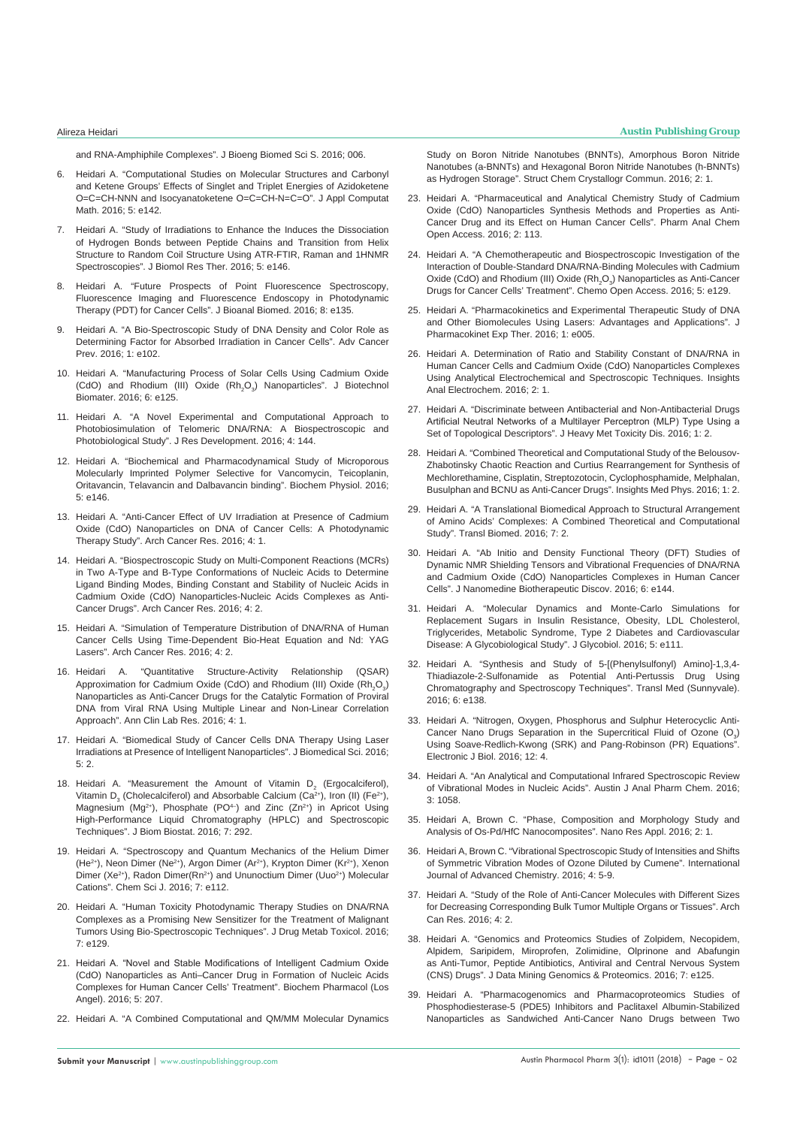[and RNA-Amphiphile Complexes". J Bioeng Biomed Sci S. 2016; 006.](https://www.omicsonline.org/open-access/a-thermodynamic-study-on-hydration-and-dehydration-of-dna-and-rnaamphiphile-complexes-2155-9538-1000S3-006.php?aid=70643)

- 6. [Heidari A. "Computational Studies on Molecular Structures and Carbonyl](https://www.omicsonline.org/open-access/computational-studies-on-molecular-structures-and-carbonyl-and-ketenegroups-effects-of-singlet-and-triplet-energies-of-azidoketene-2168-9679-1000e142.php?aid=70355)  [and Ketene Groups' Effects of Singlet and Triplet Energies of Azidoketene](https://www.omicsonline.org/open-access/computational-studies-on-molecular-structures-and-carbonyl-and-ketenegroups-effects-of-singlet-and-triplet-energies-of-azidoketene-2168-9679-1000e142.php?aid=70355)  [O=C=CH-NNN and Isocyanatoketene O=C=CH-N=C=O". J Appl Computat](https://www.omicsonline.org/open-access/computational-studies-on-molecular-structures-and-carbonyl-and-ketenegroups-effects-of-singlet-and-triplet-energies-of-azidoketene-2168-9679-1000e142.php?aid=70355)  [Math. 2016; 5: e142.](https://www.omicsonline.org/open-access/computational-studies-on-molecular-structures-and-carbonyl-and-ketenegroups-effects-of-singlet-and-triplet-energies-of-azidoketene-2168-9679-1000e142.php?aid=70355)
- 7. [Heidari A. "Study of Irradiations to Enhance the Induces the Dissociation](https://www.omicsonline.org/open-access/study-of-irradiations-to-enhance-the-induces-the-dissociation-ofhydrogen-bonds-between-peptide-chains-and-transition-from-helixstr-2167-7956-1000e146.php?aid=70649)  [of Hydrogen Bonds between Peptide Chains and Transition from Helix](https://www.omicsonline.org/open-access/study-of-irradiations-to-enhance-the-induces-the-dissociation-ofhydrogen-bonds-between-peptide-chains-and-transition-from-helixstr-2167-7956-1000e146.php?aid=70649)  [Structure to Random Coil Structure Using ATR-FTIR, Raman and 1HNMR](https://www.omicsonline.org/open-access/study-of-irradiations-to-enhance-the-induces-the-dissociation-ofhydrogen-bonds-between-peptide-chains-and-transition-from-helixstr-2167-7956-1000e146.php?aid=70649)  [Spectroscopies". J Biomol Res Ther. 2016; 5: e146.](https://www.omicsonline.org/open-access/study-of-irradiations-to-enhance-the-induces-the-dissociation-ofhydrogen-bonds-between-peptide-chains-and-transition-from-helixstr-2167-7956-1000e146.php?aid=70649)
- 8. [Heidari A. "Future Prospects of Point Fluorescence Spectroscopy,](https://www.omicsonline.org/open-access/future-prospects-of-point-fluorescence-spectroscopy-fluorescenceimaging-and-fluorescence-endoscopy-in-photodynamic-therapy-pdt-for-1948-593X-1000e135.php?aid=70496)  [Fluorescence Imaging and Fluorescence Endoscopy in Photodynamic](https://www.omicsonline.org/open-access/future-prospects-of-point-fluorescence-spectroscopy-fluorescenceimaging-and-fluorescence-endoscopy-in-photodynamic-therapy-pdt-for-1948-593X-1000e135.php?aid=70496)  [Therapy \(PDT\) for Cancer Cells". J Bioanal Biomed. 2016; 8: e135.](https://www.omicsonline.org/open-access/future-prospects-of-point-fluorescence-spectroscopy-fluorescenceimaging-and-fluorescence-endoscopy-in-photodynamic-therapy-pdt-for-1948-593X-1000e135.php?aid=70496)
- 9. [Heidari A. "A Bio-Spectroscopic Study of DNA Density and Color Role as](https://www.omicsonline.org/open-access/a-biospectroscopic-study-of-dna-density-and-color-role-as-determining-factor-for-absorbed-irradiation-in-cancer-cells-acp-1000e102.php?aid=71045)  [Determining Factor for Absorbed Irradiation in Cancer Cells". Adv Cancer](https://www.omicsonline.org/open-access/a-biospectroscopic-study-of-dna-density-and-color-role-as-determining-factor-for-absorbed-irradiation-in-cancer-cells-acp-1000e102.php?aid=71045)  [Prev. 2016; 1: e102.](https://www.omicsonline.org/open-access/a-biospectroscopic-study-of-dna-density-and-color-role-as-determining-factor-for-absorbed-irradiation-in-cancer-cells-acp-1000e102.php?aid=71045)
- 10. [Heidari A. "Manufacturing Process of Solar Cells Using Cadmium Oxide](https://www.omicsonline.org/open-access/manufacturing-process-of-solar-cells-using-cadmium-oxide-cdo-and-rhodium-iii-oxide-rh2o3-nanoparticles-2155-952X-1000e125.php?aid=71790)  (CdO) and Rhodium (III) Oxide  $(Rh<sub>2</sub>O<sub>3</sub>)$  Nanoparticles". J Biotechnol [Biomater. 2016; 6: e125.](https://www.omicsonline.org/open-access/manufacturing-process-of-solar-cells-using-cadmium-oxide-cdo-and-rhodium-iii-oxide-rh2o3-nanoparticles-2155-952X-1000e125.php?aid=71790)
- 11. [Heidari A. "A Novel Experimental and Computational Approach to](https://www.omicsonline.org/open-access/a-novel-experimental-and-computational-approach-to-photobiosimulation-of-telomeric-dnarna-a-biospectroscopic-and-photobiological-s-jrd-1000144.php?aid=71949)  [Photobiosimulation of Telomeric DNA/RNA: A Biospectroscopic and](https://www.omicsonline.org/open-access/a-novel-experimental-and-computational-approach-to-photobiosimulation-of-telomeric-dnarna-a-biospectroscopic-and-photobiological-s-jrd-1000144.php?aid=71949)  [Photobiological Study". J Res Development. 2016; 4: 144.](https://www.omicsonline.org/open-access/a-novel-experimental-and-computational-approach-to-photobiosimulation-of-telomeric-dnarna-a-biospectroscopic-and-photobiological-s-jrd-1000144.php?aid=71949)
- 12. [Heidari A. "Biochemical and Pharmacodynamical Study of Microporous](https://www.omicsonline.org/open-access/biochemical-and-pharmacodynamical-study-of-microporous-molecularlyimprinted-polymer-selective-for-vancomycin-teicoplanin-oritavanc-2168-9652-1000e146.php?aid=70970)  [Molecularly Imprinted Polymer Selective for Vancomycin, Teicoplanin,](https://www.omicsonline.org/open-access/biochemical-and-pharmacodynamical-study-of-microporous-molecularlyimprinted-polymer-selective-for-vancomycin-teicoplanin-oritavanc-2168-9652-1000e146.php?aid=70970)  [Oritavancin, Telavancin and Dalbavancin binding". Biochem Physiol. 2016;](https://www.omicsonline.org/open-access/biochemical-and-pharmacodynamical-study-of-microporous-molecularlyimprinted-polymer-selective-for-vancomycin-teicoplanin-oritavanc-2168-9652-1000e146.php?aid=70970)  [5: e146.](https://www.omicsonline.org/open-access/biochemical-and-pharmacodynamical-study-of-microporous-molecularlyimprinted-polymer-selective-for-vancomycin-teicoplanin-oritavanc-2168-9652-1000e146.php?aid=70970)
- 13. [Heidari A. "Anti-Cancer Effect of UV Irradiation at Presence of Cadmium](http://www.acanceresearch.com/cancer-research/anticancer-effect-of-uv-irradiation-at-presence-of-cadmium-oxide-cdo-nanoparticles-on-dna-of-cancer-cells-a-photodynamic-therapy-s.pdf)  [Oxide \(CdO\) Nanoparticles on DNA of Cancer Cells: A Photodynamic](http://www.acanceresearch.com/cancer-research/anticancer-effect-of-uv-irradiation-at-presence-of-cadmium-oxide-cdo-nanoparticles-on-dna-of-cancer-cells-a-photodynamic-therapy-s.pdf)  [Therapy Study". Arch Cancer Res. 2016; 4: 1.](http://www.acanceresearch.com/cancer-research/anticancer-effect-of-uv-irradiation-at-presence-of-cadmium-oxide-cdo-nanoparticles-on-dna-of-cancer-cells-a-photodynamic-therapy-s.pdf)
- 14. [Heidari A. "Biospectroscopic Study on Multi-Component Reactions \(MCRs\)](http://www.acanceresearch.com/cancer-research/biospectroscopic-study-on-multicomponent-reactions-mcrs-in-two-atype-and-btype-conformations-of-nucleic-acids-to-determine-ligand.php?aid=9093)  [in Two A-Type and B-Type Conformations of Nucleic Acids to Determine](http://www.acanceresearch.com/cancer-research/biospectroscopic-study-on-multicomponent-reactions-mcrs-in-two-atype-and-btype-conformations-of-nucleic-acids-to-determine-ligand.php?aid=9093)  [Ligand Binding Modes, Binding Constant and Stability of Nucleic Acids in](http://www.acanceresearch.com/cancer-research/biospectroscopic-study-on-multicomponent-reactions-mcrs-in-two-atype-and-btype-conformations-of-nucleic-acids-to-determine-ligand.php?aid=9093)  [Cadmium Oxide \(CdO\) Nanoparticles-Nucleic Acids Complexes as Anti-](http://www.acanceresearch.com/cancer-research/biospectroscopic-study-on-multicomponent-reactions-mcrs-in-two-atype-and-btype-conformations-of-nucleic-acids-to-determine-ligand.php?aid=9093)[Cancer Drugs". Arch Cancer Res. 2016; 4: 2.](http://www.acanceresearch.com/cancer-research/biospectroscopic-study-on-multicomponent-reactions-mcrs-in-two-atype-and-btype-conformations-of-nucleic-acids-to-determine-ligand.php?aid=9093)
- 15. [Heidari A. "Simulation of Temperature Distribution of DNA/RNA of Human](http://www.acanceresearch.com/cancer-research/simulation-of-temperature-distribution-of-dnarna-of-human-cancer-cells-using-timedependent-bioheat-equation-andnd-yag-lasers.pdf)  [Cancer Cells Using Time-Dependent Bio-Heat Equation and Nd: YAG](http://www.acanceresearch.com/cancer-research/simulation-of-temperature-distribution-of-dnarna-of-human-cancer-cells-using-timedependent-bioheat-equation-andnd-yag-lasers.pdf)  [Lasers". Arch Cancer Res. 2016; 4: 2.](http://www.acanceresearch.com/cancer-research/simulation-of-temperature-distribution-of-dnarna-of-human-cancer-cells-using-timedependent-bioheat-equation-andnd-yag-lasers.pdf)
- 16. [Heidari A. "Quantitative Structure-Activity Relationship \(QSAR\)](http://www.aclr.com.es/clinical-research/quantitative-structureactivity-relationship-qsar-approximation-for-cadmium-oxide-cdo-and-rhodium-iii-oxide-rh2o3-nanoparticles-as.php?aid=8882)  Approximation for Cadmium Oxide (CdO) and Rhodium (III) Oxide  $(\mathsf{Rh}_{2}\mathsf{O}_{3})$ [Nanoparticles as Anti-Cancer Drugs for the Catalytic Formation of Proviral](http://www.aclr.com.es/clinical-research/quantitative-structureactivity-relationship-qsar-approximation-for-cadmium-oxide-cdo-and-rhodium-iii-oxide-rh2o3-nanoparticles-as.php?aid=8882)  [DNA from Viral RNA Using Multiple Linear and Non-Linear Correlation](http://www.aclr.com.es/clinical-research/quantitative-structureactivity-relationship-qsar-approximation-for-cadmium-oxide-cdo-and-rhodium-iii-oxide-rh2o3-nanoparticles-as.php?aid=8882)  [Approach". Ann Clin Lab Res. 2016; 4: 1.](http://www.aclr.com.es/clinical-research/quantitative-structureactivity-relationship-qsar-approximation-for-cadmium-oxide-cdo-and-rhodium-iii-oxide-rh2o3-nanoparticles-as.php?aid=8882)
- 17. [Heidari A. "Biomedical Study of Cancer Cells DNA Therapy Using Laser](http://www.jbiomeds.com/biomedical-sciences/biomedical-study-of-cancer-cells-dna-therapy-using-laser-irradiations-at-presence-of-intelligent-nanoparticles.php?aid=9049)  [Irradiations at Presence of Intelligent Nanoparticles". J Biomedical Sci. 2016;](http://www.jbiomeds.com/biomedical-sciences/biomedical-study-of-cancer-cells-dna-therapy-using-laser-irradiations-at-presence-of-intelligent-nanoparticles.php?aid=9049)   $5:2$
- 18. Heidari A. "Measurement the Amount of Vitamin  $D_2$  (Ergocalciferol), Vitamin D<sub>3</sub> (Cholecalciferol) and Absorbable Calcium (Ca<sup>2+</sup>), Iron (II) (Fe<sup>2+</sup>), Magnesium (Mg<sup>2+</sup>), Phosphate (PO<sup>4-</sup>) and Zinc (Zn<sup>2+</sup>) in Apricot Using [High-Performance Liquid Chromatography \(HPLC\) and Spectroscopic](https://www.omicsonline.org/open-access/measurement-the-amount-of-vitamin-d2-ergocalciferol-vitamin-d3cholecalciferol-and-absorbable-calcium-ca2-iron-ii-fe2magnesium-mg2-2155-6180-1000292.php?aid=72126)  [Techniques". J Biom Biostat. 2016; 7: 292.](https://www.omicsonline.org/open-access/measurement-the-amount-of-vitamin-d2-ergocalciferol-vitamin-d3cholecalciferol-and-absorbable-calcium-ca2-iron-ii-fe2magnesium-mg2-2155-6180-1000292.php?aid=72126)
- 19. [Heidari A. "Spectroscopy and Quantum Mechanics of the Helium Dimer](https://www.omicsonline.org/open-access/spectroscopy-and-quantum-mechanics-of-the-helium-dimer-he2-neon-dimer-ne2-argon-dimer-ar2-krypton-dimer-kr2-xenon-dimer-xe2-radon-2150-3494-1000e112.php?aid=72392)  (He<sup>2+</sup>), Neon Dimer (Ne<sup>2+</sup>), Argon Dimer (Ar<sup>2+</sup>), Krypton Dimer (Kr<sup>2+</sup>), Xenon Dimer (Xe<sup>2+</sup>), Radon Dimer(Rn<sup>2+</sup>) and Ununoctium Dimer (Uuo<sup>2+</sup>) Molecular [Cations". Chem Sci J. 2016; 7: e112.](https://www.omicsonline.org/open-access/spectroscopy-and-quantum-mechanics-of-the-helium-dimer-he2-neon-dimer-ne2-argon-dimer-ar2-krypton-dimer-kr2-xenon-dimer-xe2-radon-2150-3494-1000e112.php?aid=72392)
- 20. [Heidari A. "Human Toxicity Photodynamic Therapy Studies on DNA/RNA](https://www.omicsonline.org/open-access/human-toxicity-photodynamic-therapy-studies-on-dnarna-complexesas-a-promising-new-sensitizer-for-the-treatment-of-malignant-tumors-2157-7609-1000e129.php?aid=73041)  [Complexes as a Promising New Sensitizer for the Treatment of Malignant](https://www.omicsonline.org/open-access/human-toxicity-photodynamic-therapy-studies-on-dnarna-complexesas-a-promising-new-sensitizer-for-the-treatment-of-malignant-tumors-2157-7609-1000e129.php?aid=73041)  [Tumors Using Bio-Spectroscopic Techniques". J Drug Metab Toxicol. 2016;](https://www.omicsonline.org/open-access/human-toxicity-photodynamic-therapy-studies-on-dnarna-complexesas-a-promising-new-sensitizer-for-the-treatment-of-malignant-tumors-2157-7609-1000e129.php?aid=73041)  [7: e129.](https://www.omicsonline.org/open-access/human-toxicity-photodynamic-therapy-studies-on-dnarna-complexesas-a-promising-new-sensitizer-for-the-treatment-of-malignant-tumors-2157-7609-1000e129.php?aid=73041)
- 21. Heidari A. "Novel and Stable Modifications of Intelligent Cadmium Oxide [\(CdO\) Nanoparticles as Anti–Cancer Drug in Formation of Nucleic Acids](https://www.omicsonline.org/open-access/novel-and-stable-modifications-of-intelligent-cadmium-oxide-cdonanoparticles-as-anticancer-drug-in-formation-of-nucleic-acidscompl-2167-0501-1000207.php?aid=73082)  [Complexes for Human Cancer Cells' Treatment". Biochem Pharmacol \(Los](https://www.omicsonline.org/open-access/novel-and-stable-modifications-of-intelligent-cadmium-oxide-cdonanoparticles-as-anticancer-drug-in-formation-of-nucleic-acidscompl-2167-0501-1000207.php?aid=73082)  [Angel\). 2016; 5: 207.](https://www.omicsonline.org/open-access/novel-and-stable-modifications-of-intelligent-cadmium-oxide-cdonanoparticles-as-anticancer-drug-in-formation-of-nucleic-acidscompl-2167-0501-1000207.php?aid=73082)
- 22. [Heidari A. "A Combined Computational and QM/MM Molecular Dynamics](https://structural-crystallography.imedpub.com/a-combined-computational-and-qmmmmolecular-dynamics-study-on-boron-nitridenanotubes-bnnts-amorphous-boronnitride-nanotubes-abnnts.php?aid=9371)

[Study on Boron Nitride Nanotubes \(BNNTs\), Amorphous Boron Nitride](https://structural-crystallography.imedpub.com/a-combined-computational-and-qmmmmolecular-dynamics-study-on-boron-nitridenanotubes-bnnts-amorphous-boronnitride-nanotubes-abnnts.php?aid=9371)  [Nanotubes \(a-BNNTs\) and Hexagonal Boron Nitride Nanotubes \(h-BNNTs\)](https://structural-crystallography.imedpub.com/a-combined-computational-and-qmmmmolecular-dynamics-study-on-boron-nitridenanotubes-bnnts-amorphous-boronnitride-nanotubes-abnnts.php?aid=9371)  [as Hydrogen Storage". Struct Chem Crystallogr Commun. 2016; 2: 1.](https://structural-crystallography.imedpub.com/a-combined-computational-and-qmmmmolecular-dynamics-study-on-boron-nitridenanotubes-bnnts-amorphous-boronnitride-nanotubes-abnnts.php?aid=9371)

- 23. [Heidari A. "Pharmaceutical and Analytical Chemistry Study of Cadmium](https://www.omicsonline.org/open-access/pharmaceutical-and-analytical-chemistry-study-of-cadmium-oxide-cdonanoparticles-synthesis-methods-and-properties-as-anticancer-dru-2471-2698-1000113.php?aid=73658)  [Oxide \(CdO\) Nanoparticles Synthesis Methods and Properties as Anti-](https://www.omicsonline.org/open-access/pharmaceutical-and-analytical-chemistry-study-of-cadmium-oxide-cdonanoparticles-synthesis-methods-and-properties-as-anticancer-dru-2471-2698-1000113.php?aid=73658)[Cancer Drug and its Effect on Human Cancer Cells". Pharm Anal Chem](https://www.omicsonline.org/open-access/pharmaceutical-and-analytical-chemistry-study-of-cadmium-oxide-cdonanoparticles-synthesis-methods-and-properties-as-anticancer-dru-2471-2698-1000113.php?aid=73658)  [Open Access. 2016; 2: 113.](https://www.omicsonline.org/open-access/pharmaceutical-and-analytical-chemistry-study-of-cadmium-oxide-cdonanoparticles-synthesis-methods-and-properties-as-anticancer-dru-2471-2698-1000113.php?aid=73658)
- 24. [Heidari A. "A Chemotherapeutic and Biospectroscopic Investigation of the](https://www.omicsonline.org/open-access/a-chemotherapeutic-and-biospectroscopic-investigation-of-the-interaction-of-doublestandard-dnarnabinding-molecules-with-cadmium-ox-2167-7700-1000e129.php?aid=73647)  [Interaction of Double-Standard DNA/RNA-Binding Molecules with Cadmium](https://www.omicsonline.org/open-access/a-chemotherapeutic-and-biospectroscopic-investigation-of-the-interaction-of-doublestandard-dnarnabinding-molecules-with-cadmium-ox-2167-7700-1000e129.php?aid=73647)  Oxide (CdO) and Rhodium (III) Oxide  $(Rh<sub>2</sub>O<sub>3</sub>)$  Nanoparticles as Anti-Cancer [Drugs for Cancer Cells' Treatment". Chemo Open Access. 2016; 5: e129.](https://www.omicsonline.org/open-access/a-chemotherapeutic-and-biospectroscopic-investigation-of-the-interaction-of-doublestandard-dnarnabinding-molecules-with-cadmium-ox-2167-7700-1000e129.php?aid=73647)
- 25. [Heidari A. "Pharmacokinetics and Experimental Therapeutic Study of DNA](https://www.omicsonline.org/open-access/pharmacokinetics-and-experimental-therapeutic-study-of-dna-and-otherbiomolecules-using-lasers-advantages-and-applications-jpet-1000e005.php?aid=73561)  [and Other Biomolecules Using Lasers: Advantages and Applications". J](https://www.omicsonline.org/open-access/pharmacokinetics-and-experimental-therapeutic-study-of-dna-and-otherbiomolecules-using-lasers-advantages-and-applications-jpet-1000e005.php?aid=73561)  [Pharmacokinet Exp Ther. 2016; 1: e005.](https://www.omicsonline.org/open-access/pharmacokinetics-and-experimental-therapeutic-study-of-dna-and-otherbiomolecules-using-lasers-advantages-and-applications-jpet-1000e005.php?aid=73561)
- 26. [Heidari A. Determination of Ratio and Stability Constant of DNA/RNA in](https://electroanalytical.imedpub.com/determination-of-ratio-and-stability-constant-of-dnarna-in-human-cancer-cells-and-cadmium-oxide-cdo-nanoparticles-complexes-using.pdf)  [Human Cancer Cells and Cadmium Oxide \(CdO\) Nanoparticles Complexes](https://electroanalytical.imedpub.com/determination-of-ratio-and-stability-constant-of-dnarna-in-human-cancer-cells-and-cadmium-oxide-cdo-nanoparticles-complexes-using.pdf)  [Using Analytical Electrochemical and Spectroscopic Techniques. Insights](https://electroanalytical.imedpub.com/determination-of-ratio-and-stability-constant-of-dnarna-in-human-cancer-cells-and-cadmium-oxide-cdo-nanoparticles-complexes-using.pdf)  [Anal Electrochem. 2016; 2: 1.](https://electroanalytical.imedpub.com/determination-of-ratio-and-stability-constant-of-dnarna-in-human-cancer-cells-and-cadmium-oxide-cdo-nanoparticles-complexes-using.pdf)
- 27. [Heidari A. "Discriminate between Antibacterial and Non-Antibacterial Drugs](http://heavy-metal-toxicity-diseases.imedpub.com/discriminate-between-antibacterial-andnonantibacterial-drugs-artificial-neutralnetworks-of-a-multilayer-perceptron-mlptype-using-a.php?aid=9563)  [Artificial Neutral Networks of a Multilayer Perceptron \(MLP\) Type Using a](http://heavy-metal-toxicity-diseases.imedpub.com/discriminate-between-antibacterial-andnonantibacterial-drugs-artificial-neutralnetworks-of-a-multilayer-perceptron-mlptype-using-a.php?aid=9563)  [Set of Topological Descriptors". J Heavy Met Toxicity Dis. 2016; 1: 2.](http://heavy-metal-toxicity-diseases.imedpub.com/discriminate-between-antibacterial-andnonantibacterial-drugs-artificial-neutralnetworks-of-a-multilayer-perceptron-mlptype-using-a.php?aid=9563)
- 28. [Heidari A. "Combined Theoretical and Computational Study of the Belousov-](https://medicalphysics.imedpub.com/combined-theoretical-and-computationalstudy-of-the-belousovzhabotinsky-chaoticreaction-and-curtius-rearrangement-forsynthesis-of-m.pdf)[Zhabotinsky Chaotic Reaction and Curtius Rearrangement for Synthesis of](https://medicalphysics.imedpub.com/combined-theoretical-and-computationalstudy-of-the-belousovzhabotinsky-chaoticreaction-and-curtius-rearrangement-forsynthesis-of-m.pdf)  [Mechlorethamine, Cisplatin, Streptozotocin, Cyclophosphamide, Melphalan,](https://medicalphysics.imedpub.com/combined-theoretical-and-computationalstudy-of-the-belousovzhabotinsky-chaoticreaction-and-curtius-rearrangement-forsynthesis-of-m.pdf)  [Busulphan and BCNU as Anti-Cancer Drugs". Insights Med Phys. 2016; 1: 2.](https://medicalphysics.imedpub.com/combined-theoretical-and-computationalstudy-of-the-belousovzhabotinsky-chaoticreaction-and-curtius-rearrangement-forsynthesis-of-m.pdf)
- 29. [Heidari A. "A Translational Biomedical Approach to Structural Arrangement](http://www.transbiomedicine.com/translational-biomedicine/a-translational-biomedical-approach-to-structural-arrangement-of-amino-acids-complexes-a-combined-theoretical-and-computational-st.php?aid=9653)  [of Amino Acids' Complexes: A Combined Theoretical and Computational](http://www.transbiomedicine.com/translational-biomedicine/a-translational-biomedical-approach-to-structural-arrangement-of-amino-acids-complexes-a-combined-theoretical-and-computational-st.php?aid=9653)  [Study". Transl Biomed. 2016; 7: 2.](http://www.transbiomedicine.com/translational-biomedicine/a-translational-biomedical-approach-to-structural-arrangement-of-amino-acids-complexes-a-combined-theoretical-and-computational-st.php?aid=9653)
- 30. [Heidari A. "Ab Initio and Density Functional Theory \(DFT\) Studies of](https://www.omicsonline.org/open-access/ab-initio-and-density-functional-theory-dft-studies-of-dynamic-nmrshielding-tensors-and-vibrational-frequencies-of-dnarna-andcadmi-2155-983X-1000e144.php?aid=74217)  [Dynamic NMR Shielding Tensors and Vibrational Frequencies of DNA/RNA](https://www.omicsonline.org/open-access/ab-initio-and-density-functional-theory-dft-studies-of-dynamic-nmrshielding-tensors-and-vibrational-frequencies-of-dnarna-andcadmi-2155-983X-1000e144.php?aid=74217)  [and Cadmium Oxide \(CdO\) Nanoparticles Complexes in Human Cancer](https://www.omicsonline.org/open-access/ab-initio-and-density-functional-theory-dft-studies-of-dynamic-nmrshielding-tensors-and-vibrational-frequencies-of-dnarna-andcadmi-2155-983X-1000e144.php?aid=74217)  [Cells". J Nanomedine Biotherapeutic Discov. 2016; 6: e144.](https://www.omicsonline.org/open-access/ab-initio-and-density-functional-theory-dft-studies-of-dynamic-nmrshielding-tensors-and-vibrational-frequencies-of-dnarna-andcadmi-2155-983X-1000e144.php?aid=74217)
- 31. [Heidari A. "Molecular Dynamics and Monte-Carlo Simulations for](https://www.omicsonline.org/open-access/molecular-dynamics-and-montecarlo-simulations-for-replacement-sugars-ininsulin-resistance-obesity-ldl-cholesterol-triglycerides-me-2168-958X-1000e111.php?aid=74707)  [Replacement Sugars in Insulin Resistance, Obesity, LDL Cholesterol,](https://www.omicsonline.org/open-access/molecular-dynamics-and-montecarlo-simulations-for-replacement-sugars-ininsulin-resistance-obesity-ldl-cholesterol-triglycerides-me-2168-958X-1000e111.php?aid=74707)  [Triglycerides, Metabolic Syndrome, Type 2 Diabetes and Cardiovascular](https://www.omicsonline.org/open-access/molecular-dynamics-and-montecarlo-simulations-for-replacement-sugars-ininsulin-resistance-obesity-ldl-cholesterol-triglycerides-me-2168-958X-1000e111.php?aid=74707)  [Disease: A Glycobiological Study". J Glycobiol. 2016; 5: e111.](https://www.omicsonline.org/open-access/molecular-dynamics-and-montecarlo-simulations-for-replacement-sugars-ininsulin-resistance-obesity-ldl-cholesterol-triglycerides-me-2168-958X-1000e111.php?aid=74707)
- 32. [Heidari A. "Synthesis and Study of 5-\[\(Phenylsulfonyl\) Amino\]-1,3,4-](https://www.omicsonline.org/open-access/synthesis-and-study-of-5phenylsulfonylamino134thiadiazole2sulfonamide-as-potential-antipertussis-drug-using-chromatography-and-spe-2161-1025-1000e137.php?aid=75143) [Thiadiazole-2-Sulfonamide as Potential Anti-Pertussis Drug Using](https://www.omicsonline.org/open-access/synthesis-and-study-of-5phenylsulfonylamino134thiadiazole2sulfonamide-as-potential-antipertussis-drug-using-chromatography-and-spe-2161-1025-1000e137.php?aid=75143)  [Chromatography and Spectroscopy Techniques". Transl Med \(Sunnyvale\).](https://www.omicsonline.org/open-access/synthesis-and-study-of-5phenylsulfonylamino134thiadiazole2sulfonamide-as-potential-antipertussis-drug-using-chromatography-and-spe-2161-1025-1000e137.php?aid=75143)  [2016; 6: e138.](https://www.omicsonline.org/open-access/synthesis-and-study-of-5phenylsulfonylamino134thiadiazole2sulfonamide-as-potential-antipertussis-drug-using-chromatography-and-spe-2161-1025-1000e137.php?aid=75143)
- 33. [Heidari A. "Nitrogen, Oxygen, Phosphorus and Sulphur Heterocyclic Anti-](http://ejbio.imedpub.com/nitrogen-oxygen-phosphorus-and-sulphur-heterocyclicanti-cancer-nano-drugs-separation-in-the-supercritical-fluidof-ozone-o3-using-s.php?aid=9768)Cancer Nano Drugs Separation in the Supercritical Fluid of Ozone  $(O_3)$ [Using Soave-Redlich-Kwong \(SRK\) and Pang-Robinson \(PR\) Equations".](http://ejbio.imedpub.com/nitrogen-oxygen-phosphorus-and-sulphur-heterocyclicanti-cancer-nano-drugs-separation-in-the-supercritical-fluidof-ozone-o3-using-s.php?aid=9768)  [Electronic J Biol. 2016; 12: 4.](http://ejbio.imedpub.com/nitrogen-oxygen-phosphorus-and-sulphur-heterocyclicanti-cancer-nano-drugs-separation-in-the-supercritical-fluidof-ozone-o3-using-s.php?aid=9768)
- 34. [Heidari A. "An Analytical and Computational Infrared Spectroscopic Review](http://paper.researchbib.com/view/paper/141214)  [of Vibrational Modes in Nucleic Acids". Austin J Anal Pharm Chem. 2016;](http://paper.researchbib.com/view/paper/141214)  [3: 1058.](http://paper.researchbib.com/view/paper/141214)
- 35. [Heidari A, Brown C. "Phase, Composition and Morphology Study and](http://nanotechnology.imedpub.com/phase-composition-and-morphology-study-and-analysis-of-ospdhfc-nanocomposites.php?aid=9059)  [Analysis of Os-Pd/HfC Nanocomposites". Nano Res Appl. 2016; 2: 1.](http://nanotechnology.imedpub.com/phase-composition-and-morphology-study-and-analysis-of-ospdhfc-nanocomposites.php?aid=9059)
- 36. [Heidari A, Brown C. "Vibrational Spectroscopic Study of Intensities and Shifts](https://www.sciencepubco.com/index.php/IJAC/article/view/6080/2237)  [of Symmetric Vibration Modes of Ozone Diluted by Cumene". International](https://www.sciencepubco.com/index.php/IJAC/article/view/6080/2237)  [Journal of Advanced Chemistry. 2016; 4: 5-9.](https://www.sciencepubco.com/index.php/IJAC/article/view/6080/2237)
- 37. [Heidari A. "Study of the Role of Anti-Cancer Molecules with Different Sizes](http://www.acanceresearch.com/cancer-research/study-of-the-role-of-anticancer-molecules-with-different-sizes-for-decreasing-corresponding-bulk-tumor-multiple-organs-or-tissues.php?aid=9809)  [for Decreasing Corresponding Bulk Tumor Multiple Organs or Tissues". Arch](http://www.acanceresearch.com/cancer-research/study-of-the-role-of-anticancer-molecules-with-different-sizes-for-decreasing-corresponding-bulk-tumor-multiple-organs-or-tissues.php?aid=9809)  [Can Res. 2016; 4: 2.](http://www.acanceresearch.com/cancer-research/study-of-the-role-of-anticancer-molecules-with-different-sizes-for-decreasing-corresponding-bulk-tumor-multiple-organs-or-tissues.php?aid=9809)
- 38. [Heidari A. "Genomics and Proteomics Studies of Zolpidem, Necopidem,](https://www.omicsonline.org/open-access/genomics-and-proteomics-studies-of-zolpidem-necopidem-alpidem-saripidem-miroprofen-zolimidine-olprinone-and-abafungin-as-antitumor-2153-0602-1000e125.php?aid=75982)  [Alpidem, Saripidem, Miroprofen, Zolimidine, Olprinone and Abafungin](https://www.omicsonline.org/open-access/genomics-and-proteomics-studies-of-zolpidem-necopidem-alpidem-saripidem-miroprofen-zolimidine-olprinone-and-abafungin-as-antitumor-2153-0602-1000e125.php?aid=75982)  [as Anti-Tumor, Peptide Antibiotics, Antiviral and Central Nervous System](https://www.omicsonline.org/open-access/genomics-and-proteomics-studies-of-zolpidem-necopidem-alpidem-saripidem-miroprofen-zolimidine-olprinone-and-abafungin-as-antitumor-2153-0602-1000e125.php?aid=75982)  [\(CNS\) Drugs". J Data Mining Genomics & Proteomics. 2016; 7: e125.](https://www.omicsonline.org/open-access/genomics-and-proteomics-studies-of-zolpidem-necopidem-alpidem-saripidem-miroprofen-zolimidine-olprinone-and-abafungin-as-antitumor-2153-0602-1000e125.php?aid=75982)
- 39. [Heidari A. "Pharmacogenomics and Pharmacoproteomics Studies of](https://www.omicsonline.org/open-access/pharmacogenomics-and-pharmacoproteomics-studies-ofphosphodiesterase5-pde5-inhibitors-and-paclitaxel-albuminstabilizednanoparticles-2153-0645-1000e153.php?aid=75985&view=mobile)  [Phosphodiesterase-5 \(PDE5\) Inhibitors and Paclitaxel Albumin-Stabilized](https://www.omicsonline.org/open-access/pharmacogenomics-and-pharmacoproteomics-studies-ofphosphodiesterase5-pde5-inhibitors-and-paclitaxel-albuminstabilizednanoparticles-2153-0645-1000e153.php?aid=75985&view=mobile)  [Nanoparticles as Sandwiched Anti-Cancer Nano Drugs between Two](https://www.omicsonline.org/open-access/pharmacogenomics-and-pharmacoproteomics-studies-ofphosphodiesterase5-pde5-inhibitors-and-paclitaxel-albuminstabilizednanoparticles-2153-0645-1000e153.php?aid=75985&view=mobile)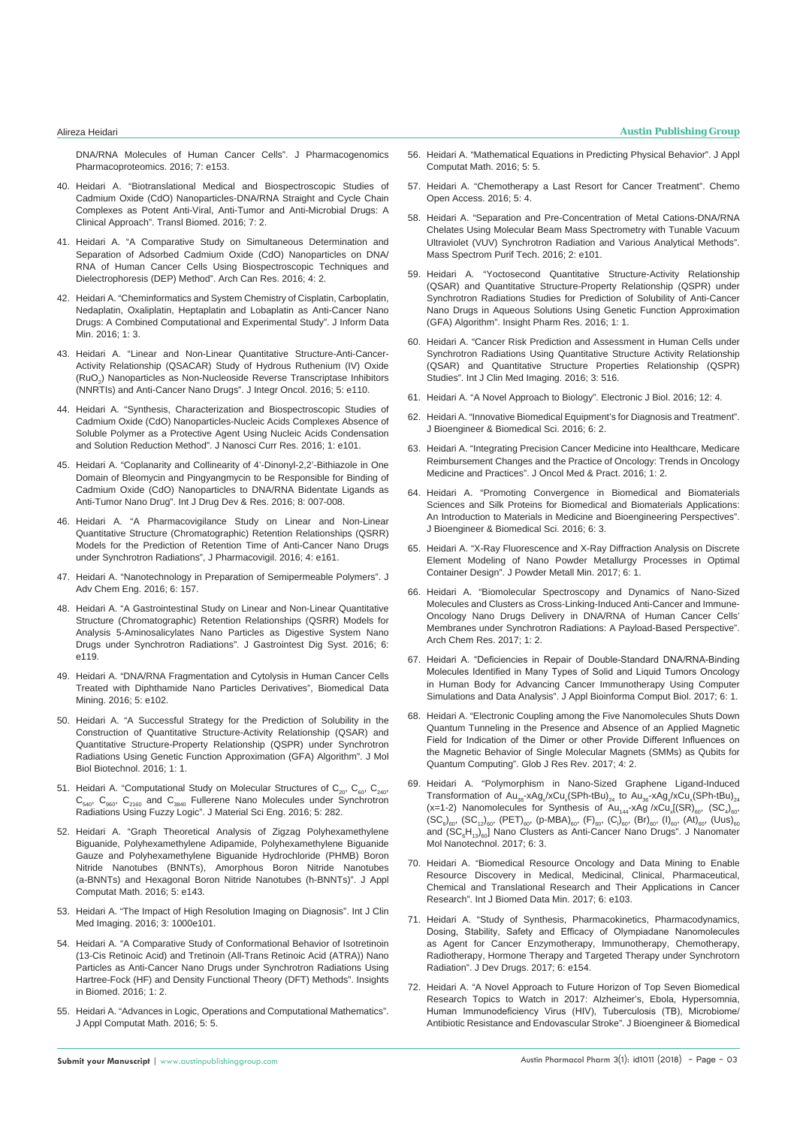[DNA/RNA Molecules of Human Cancer Cells". J Pharmacogenomics](https://www.omicsonline.org/open-access/pharmacogenomics-and-pharmacoproteomics-studies-ofphosphodiesterase5-pde5-inhibitors-and-paclitaxel-albuminstabilizednanoparticles-2153-0645-1000e153.php?aid=75985&view=mobile)  [Pharmacoproteomics. 2016; 7: e153.](https://www.omicsonline.org/open-access/pharmacogenomics-and-pharmacoproteomics-studies-ofphosphodiesterase5-pde5-inhibitors-and-paclitaxel-albuminstabilizednanoparticles-2153-0645-1000e153.php?aid=75985&view=mobile)

- 40. [Heidari A. "Biotranslational Medical and Biospectroscopic Studies of](http://www.transbiomedicine.com/translational-biomedicine/biotranslational-medical-and-biospectroscopic-studies-of-cadmium-oxidecdo-nanoparticlesdnarna-straight-and-cycle-chain-complexes-a.php?aid=9835)  [Cadmium Oxide \(CdO\) Nanoparticles-DNA/RNA Straight and Cycle Chain](http://www.transbiomedicine.com/translational-biomedicine/biotranslational-medical-and-biospectroscopic-studies-of-cadmium-oxidecdo-nanoparticlesdnarna-straight-and-cycle-chain-complexes-a.php?aid=9835)  [Complexes as Potent Anti-Viral, Anti-Tumor and Anti-Microbial Drugs: A](http://www.transbiomedicine.com/translational-biomedicine/biotranslational-medical-and-biospectroscopic-studies-of-cadmium-oxidecdo-nanoparticlesdnarna-straight-and-cycle-chain-complexes-a.php?aid=9835)  [Clinical Approach". Transl Biomed. 2016; 7: 2.](http://www.transbiomedicine.com/translational-biomedicine/biotranslational-medical-and-biospectroscopic-studies-of-cadmium-oxidecdo-nanoparticlesdnarna-straight-and-cycle-chain-complexes-a.php?aid=9835)
- 41. [Heidari A. "A Comparative Study on Simultaneous Determination and](http://www.acanceresearch.com/cancer-research/a-comparative-study-on-simultaneous-determination-and-separation-of-adsorbed-cadmium-oxide-cdo-nanoparticles-on-dnarna-of-human-ca.php?aid=9862)  [Separation of Adsorbed Cadmium Oxide \(CdO\) Nanoparticles on DNA/](http://www.acanceresearch.com/cancer-research/a-comparative-study-on-simultaneous-determination-and-separation-of-adsorbed-cadmium-oxide-cdo-nanoparticles-on-dnarna-of-human-ca.php?aid=9862) [RNA of Human Cancer Cells Using Biospectroscopic Techniques and](http://www.acanceresearch.com/cancer-research/a-comparative-study-on-simultaneous-determination-and-separation-of-adsorbed-cadmium-oxide-cdo-nanoparticles-on-dnarna-of-human-ca.php?aid=9862)  [Dielectrophoresis \(DEP\) Method". Arch Can Res. 2016; 4: 2.](http://www.acanceresearch.com/cancer-research/a-comparative-study-on-simultaneous-determination-and-separation-of-adsorbed-cadmium-oxide-cdo-nanoparticles-on-dnarna-of-human-ca.php?aid=9862)
- 42. [Heidari A. "Cheminformatics and System Chemistry of Cisplatin, Carboplatin,](http://datamining.imedpub.com/cheminformatics-and-system-chemistry-of-cisplatin-carboplatin-nedaplatinoxaliplatin-heptaplatin-and-lobaplatin-as-anticancer-nano.php?aid=9880)  [Nedaplatin, Oxaliplatin, Heptaplatin and Lobaplatin as Anti-Cancer Nano](http://datamining.imedpub.com/cheminformatics-and-system-chemistry-of-cisplatin-carboplatin-nedaplatinoxaliplatin-heptaplatin-and-lobaplatin-as-anticancer-nano.php?aid=9880)  [Drugs: A Combined Computational and Experimental Study". J Inform Data](http://datamining.imedpub.com/cheminformatics-and-system-chemistry-of-cisplatin-carboplatin-nedaplatinoxaliplatin-heptaplatin-and-lobaplatin-as-anticancer-nano.php?aid=9880)  [Min. 2016; 1: 3.](http://datamining.imedpub.com/cheminformatics-and-system-chemistry-of-cisplatin-carboplatin-nedaplatinoxaliplatin-heptaplatin-and-lobaplatin-as-anticancer-nano.php?aid=9880)
- 43. [Heidari A. "Linear and Non-Linear Quantitative Structure-Anti-Cancer-](https://www.omicsonline.org/open-access/linear-and-nonlinear-quantitative-structureanticanceractivityrelationship-qsacar-study-of-hydrous-ruthenium-iv-oxide-ruo2nanoparti-2329-6771-1000e110.php?aid=76867)[Activity Relationship \(QSACAR\) Study of Hydrous Ruthenium \(IV\) Oxide](https://www.omicsonline.org/open-access/linear-and-nonlinear-quantitative-structureanticanceractivityrelationship-qsacar-study-of-hydrous-ruthenium-iv-oxide-ruo2nanoparti-2329-6771-1000e110.php?aid=76867)  ( $RuO<sub>2</sub>$ ) Nanoparticles as Non-Nucleoside Reverse Transcriptase Inhibitors [\(NNRTIs\) and Anti-Cancer Nano Drugs". J Integr Oncol. 2016; 5: e110.](https://www.omicsonline.org/open-access/linear-and-nonlinear-quantitative-structureanticanceractivityrelationship-qsacar-study-of-hydrous-ruthenium-iv-oxide-ruo2nanoparti-2329-6771-1000e110.php?aid=76867)
- 44. [Heidari A. "Synthesis, Characterization and Biospectroscopic Studies of](https://www.omicsonline.org/open-access/synthesis-characterization-and-biospectroscopic-studies-of-cadmium-oxide-cdo-nanoparticlesnucleic-acids-complexes-absence-of-solub-JNCR-1000103.pdf)  [Cadmium Oxide \(CdO\) Nanoparticles-Nucleic Acids Complexes Absence of](https://www.omicsonline.org/open-access/synthesis-characterization-and-biospectroscopic-studies-of-cadmium-oxide-cdo-nanoparticlesnucleic-acids-complexes-absence-of-solub-JNCR-1000103.pdf)  [Soluble Polymer as a Protective Agent Using Nucleic Acids Condensation](https://www.omicsonline.org/open-access/synthesis-characterization-and-biospectroscopic-studies-of-cadmium-oxide-cdo-nanoparticlesnucleic-acids-complexes-absence-of-solub-JNCR-1000103.pdf)  [and Solution Reduction Method". J Nanosci Curr Res. 2016; 1: e101.](https://www.omicsonline.org/open-access/synthesis-characterization-and-biospectroscopic-studies-of-cadmium-oxide-cdo-nanoparticlesnucleic-acids-complexes-absence-of-solub-JNCR-1000103.pdf)
- 45. [Heidari A. "Coplanarity and Collinearity of 4'-Dinonyl-2,2'-Bithiazole in One](http://www.ijddr.in/drug-development/coplanarity-and-collinearity-of-4dinonyl22bithiazole-in-one-domain-of-bleomycin-and-pingyangmycin-to-be-responsible-for-bindingof.php?aid=9938)  [Domain of Bleomycin and Pingyangmycin to be Responsible for Binding of](http://www.ijddr.in/drug-development/coplanarity-and-collinearity-of-4dinonyl22bithiazole-in-one-domain-of-bleomycin-and-pingyangmycin-to-be-responsible-for-bindingof.php?aid=9938)  [Cadmium Oxide \(CdO\) Nanoparticles to DNA/RNA Bidentate Ligands as](http://www.ijddr.in/drug-development/coplanarity-and-collinearity-of-4dinonyl22bithiazole-in-one-domain-of-bleomycin-and-pingyangmycin-to-be-responsible-for-bindingof.php?aid=9938)  [Anti-Tumor Nano Drug". Int J Drug Dev & Res. 2016; 8: 007-008.](http://www.ijddr.in/drug-development/coplanarity-and-collinearity-of-4dinonyl22bithiazole-in-one-domain-of-bleomycin-and-pingyangmycin-to-be-responsible-for-bindingof.php?aid=9938)
- 46. [Heidari A. "A Pharmacovigilance Study on Linear and Non-Linear](https://www.omicsonline.org/open-access/a-pharmacovigilance-study-on-linear-and-nonlinear-quantitativestructure-chromatographic-retention-relationships-qsrr-models-forthe-2329-6887-1000e161.php?aid=78376)  [Quantitative Structure \(Chromatographic\) Retention Relationships \(QSRR\)](https://www.omicsonline.org/open-access/a-pharmacovigilance-study-on-linear-and-nonlinear-quantitativestructure-chromatographic-retention-relationships-qsrr-models-forthe-2329-6887-1000e161.php?aid=78376)  [Models for the Prediction of Retention Time of Anti-Cancer Nano Drugs](https://www.omicsonline.org/open-access/a-pharmacovigilance-study-on-linear-and-nonlinear-quantitativestructure-chromatographic-retention-relationships-qsrr-models-forthe-2329-6887-1000e161.php?aid=78376)  [under Synchrotron Radiations", J Pharmacovigil. 2016; 4: e161.](https://www.omicsonline.org/open-access/a-pharmacovigilance-study-on-linear-and-nonlinear-quantitativestructure-chromatographic-retention-relationships-qsrr-models-forthe-2329-6887-1000e161.php?aid=78376)
- 47. [Heidari A. "Nanotechnology in Preparation of Semipermeable Polymers". J](https://www.omicsonline.org/open-access/nanotechnology-in-preparation-of-semipermeable-polymers-2090-4568-1000157.php?aid=78336)  [Adv Chem Eng. 2016; 6: 157.](https://www.omicsonline.org/open-access/nanotechnology-in-preparation-of-semipermeable-polymers-2090-4568-1000157.php?aid=78336)
- 48. [Heidari A. "A Gastrointestinal Study on Linear and Non-Linear Quantitative](https://www.omicsonline.org/open-access/a-gastrointestinal-study-on-linear-and-nonlinear-quantitative-structurechromatographic-retention-relationships-qsrr-models-for-ana-2161-069X-1000e119.php?aid=79075)  [Structure \(Chromatographic\) Retention Relationships \(QSRR\) Models for](https://www.omicsonline.org/open-access/a-gastrointestinal-study-on-linear-and-nonlinear-quantitative-structurechromatographic-retention-relationships-qsrr-models-for-ana-2161-069X-1000e119.php?aid=79075)  [Analysis 5-Aminosalicylates Nano Particles as Digestive System Nano](https://www.omicsonline.org/open-access/a-gastrointestinal-study-on-linear-and-nonlinear-quantitative-structurechromatographic-retention-relationships-qsrr-models-for-ana-2161-069X-1000e119.php?aid=79075)  [Drugs under Synchrotron Radiations". J Gastrointest Dig Syst. 2016; 6:](https://www.omicsonline.org/open-access/a-gastrointestinal-study-on-linear-and-nonlinear-quantitative-structurechromatographic-retention-relationships-qsrr-models-for-ana-2161-069X-1000e119.php?aid=79075)  [e119.](https://www.omicsonline.org/open-access/a-gastrointestinal-study-on-linear-and-nonlinear-quantitative-structurechromatographic-retention-relationships-qsrr-models-for-ana-2161-069X-1000e119.php?aid=79075)
- 49. [Heidari A. "DNA/RNA Fragmentation and Cytolysis in Human Cancer Cells](https://www.omicsonline.org/open-access/dnarna-fragmentation-and-cytolysis-in-human-cancer-cells-treatedwith-diphthamide-nano-particles-derivatives-2090-4924-1000e102.php?aid=79143)  [Treated with Diphthamide Nano Particles Derivatives", Biomedical Data](https://www.omicsonline.org/open-access/dnarna-fragmentation-and-cytolysis-in-human-cancer-cells-treatedwith-diphthamide-nano-particles-derivatives-2090-4924-1000e102.php?aid=79143)  [Mining. 2016; 5: e102.](https://www.omicsonline.org/open-access/dnarna-fragmentation-and-cytolysis-in-human-cancer-cells-treatedwith-diphthamide-nano-particles-derivatives-2090-4924-1000e102.php?aid=79143)
- 50. [Heidari A. "A Successful Strategy for the Prediction of Solubility in the](http://www.imedpub.com/articles/a-successful-strategy-for-the-prediction-of-solubility-in-the-construction-of-quantitative-structureactivity-relationship-qsar-and.php?aid=17247)  [Construction of Quantitative Structure-Activity Relationship \(QSAR\) and](http://www.imedpub.com/articles/a-successful-strategy-for-the-prediction-of-solubility-in-the-construction-of-quantitative-structureactivity-relationship-qsar-and.php?aid=17247)  [Quantitative Structure-Property Relationship \(QSPR\) under Synchrotron](http://www.imedpub.com/articles/a-successful-strategy-for-the-prediction-of-solubility-in-the-construction-of-quantitative-structureactivity-relationship-qsar-and.php?aid=17247)  [Radiations Using Genetic Function Approximation \(GFA\) Algorithm". J Mol](http://www.imedpub.com/articles/a-successful-strategy-for-the-prediction-of-solubility-in-the-construction-of-quantitative-structureactivity-relationship-qsar-and.php?aid=17247)  [Biol Biotechnol. 2016; 1: 1.](http://www.imedpub.com/articles/a-successful-strategy-for-the-prediction-of-solubility-in-the-construction-of-quantitative-structureactivity-relationship-qsar-and.php?aid=17247)
- 51. Heidari A. "Computational Study on Molecular Structures of  $C_{20}$ ,  $C_{60}$ ,  $C_{240}$  $C_{540}$ ,  $C_{960}$ ,  $C_{2160}$  and  $C_{3840}$  Fullerene Nano Molecules under Synchrotron [Radiations Using Fuzzy Logic". J Material Sci Eng. 2016; 5: 282.](https://www.omicsonline.org/open-access/computational-study-on-molecular-structures-of-c20-c60-c240-c540c960-c2160-and-c3840-fullerene-nano-molecules-under-synchrotron-ra-2169-0022-1000282.php?aid=80465)
- 52. [Heidari A. "Graph Theoretical Analysis of Zigzag Polyhexamethylene](https://www.omicsonline.org/open-access/graph-theoretical-analysis-of-zigzag-polyhexamethylene-biguanide-polyhexamethylene-adipamide-polyhexamethylene-biguanide-gauze-and-2168-9679-1000e143.php?aid=80804)  [Biguanide, Polyhexamethylene Adipamide, Polyhexamethylene Biguanide](https://www.omicsonline.org/open-access/graph-theoretical-analysis-of-zigzag-polyhexamethylene-biguanide-polyhexamethylene-adipamide-polyhexamethylene-biguanide-gauze-and-2168-9679-1000e143.php?aid=80804)  [Gauze and Polyhexamethylene Biguanide Hydrochloride \(PHMB\) Boron](https://www.omicsonline.org/open-access/graph-theoretical-analysis-of-zigzag-polyhexamethylene-biguanide-polyhexamethylene-adipamide-polyhexamethylene-biguanide-gauze-and-2168-9679-1000e143.php?aid=80804)  [Nitride Nanotubes \(BNNTs\), Amorphous Boron Nitride Nanotubes](https://www.omicsonline.org/open-access/graph-theoretical-analysis-of-zigzag-polyhexamethylene-biguanide-polyhexamethylene-adipamide-polyhexamethylene-biguanide-gauze-and-2168-9679-1000e143.php?aid=80804)  [\(a-BNNTs\) and Hexagonal Boron Nitride Nanotubes \(h-BNNTs\)". J Appl](https://www.omicsonline.org/open-access/graph-theoretical-analysis-of-zigzag-polyhexamethylene-biguanide-polyhexamethylene-adipamide-polyhexamethylene-biguanide-gauze-and-2168-9679-1000e143.php?aid=80804)  [Computat Math. 2016; 5: e143.](https://www.omicsonline.org/open-access/graph-theoretical-analysis-of-zigzag-polyhexamethylene-biguanide-polyhexamethylene-adipamide-polyhexamethylene-biguanide-gauze-and-2168-9679-1000e143.php?aid=80804)
- 53. [Heidari A. "The Impact of High Resolution Imaging on Diagnosis". Int J Clin](http://imagejournals.org/the-impact-of-high-resolution-imaging-on-diagnosis.pdf)  [Med Imaging. 2016; 3: 1000e101.](http://imagejournals.org/the-impact-of-high-resolution-imaging-on-diagnosis.pdf)
- 54. [Heidari A. "A Comparative Study of Conformational Behavior of Isotretinoin](http://biomedicine.imedpub.com/a-comparative-study-of-conformational-behavior-of-isotretinoin-13cis-retinoic-acid-and-tretinoin-alltrans-retinoic-acid-atra-nano.php?aid=17333)  [\(13-Cis Retinoic Acid\) and Tretinoin \(All-Trans Retinoic Acid \(ATRA\)\) Nano](http://biomedicine.imedpub.com/a-comparative-study-of-conformational-behavior-of-isotretinoin-13cis-retinoic-acid-and-tretinoin-alltrans-retinoic-acid-atra-nano.php?aid=17333)  [Particles as Anti-Cancer Nano Drugs under Synchrotron Radiations Using](http://biomedicine.imedpub.com/a-comparative-study-of-conformational-behavior-of-isotretinoin-13cis-retinoic-acid-and-tretinoin-alltrans-retinoic-acid-atra-nano.php?aid=17333)  [Hartree-Fock \(HF\) and Density Functional Theory \(DFT\) Methods". Insights](http://biomedicine.imedpub.com/a-comparative-study-of-conformational-behavior-of-isotretinoin-13cis-retinoic-acid-and-tretinoin-alltrans-retinoic-acid-atra-nano.php?aid=17333)  [in Biomed. 2016; 1: 2.](http://biomedicine.imedpub.com/a-comparative-study-of-conformational-behavior-of-isotretinoin-13cis-retinoic-acid-and-tretinoin-alltrans-retinoic-acid-atra-nano.php?aid=17333)
- 55. [Heidari A. "Advances in Logic, Operations and Computational Mathematics".](https://www.omicsonline.org/open-access/advances-in-logic-operations-and-computational-mathematics-2168-9679-1000e144.php?aid=81158)  [J Appl Computat Math. 2016; 5: 5.](https://www.omicsonline.org/open-access/advances-in-logic-operations-and-computational-mathematics-2168-9679-1000e144.php?aid=81158)
- 56. [Heidari A. "Mathematical Equations in Predicting Physical Behavior". J Appl](https://www.omicsonline.org/open-access/mathematical-equations-in-predicting-physical-behavior-2168-9679-1000e145.php?aid=81159)  [Computat Math. 2016; 5: 5.](https://www.omicsonline.org/open-access/mathematical-equations-in-predicting-physical-behavior-2168-9679-1000e145.php?aid=81159)
- 57. [Heidari A. "Chemotherapy a Last Resort for Cancer Treatment". Chemo](https://www.omicsonline.org/open-access/chemotherapy-a-last-resort-for-cancer-treatment-2167-7700-1000e130.php?aid=81319)  [Open Access. 2016; 5: 4.](https://www.omicsonline.org/open-access/chemotherapy-a-last-resort-for-cancer-treatment-2167-7700-1000e130.php?aid=81319)
- 58. [Heidari A. "Separation and Pre-Concentration of Metal Cations-DNA/RNA](https://www.omicsonline.org/open-access/separation-and-preconcentration-of-metal-cations--dnarnachelates-using-molecular-beam-mass-spectrometry-with-tunable-vacuumultravi-2469-9861-1000e101.pdf)  [Chelates Using Molecular Beam Mass Spectrometry with Tunable Vacuum](https://www.omicsonline.org/open-access/separation-and-preconcentration-of-metal-cations--dnarnachelates-using-molecular-beam-mass-spectrometry-with-tunable-vacuumultravi-2469-9861-1000e101.pdf)  [Ultraviolet \(VUV\) Synchrotron Radiation and Various Analytical Methods".](https://www.omicsonline.org/open-access/separation-and-preconcentration-of-metal-cations--dnarnachelates-using-molecular-beam-mass-spectrometry-with-tunable-vacuumultravi-2469-9861-1000e101.pdf)  [Mass Spectrom Purif Tech. 2016; 2: e101.](https://www.omicsonline.org/open-access/separation-and-preconcentration-of-metal-cations--dnarnachelates-using-molecular-beam-mass-spectrometry-with-tunable-vacuumultravi-2469-9861-1000e101.pdf)
- 59. [Heidari A. "Yoctosecond Quantitative Structure-Activity Relationship](http://www.imedpub.com/articles/yoctosecond-quantitative-structure-activity-relationship-qsar-and-quantitative-structure-property-relationship-qspr-under-synchrot.php?aid=17372)  [\(QSAR\) and Quantitative Structure-Property Relationship \(QSPR\) under](http://www.imedpub.com/articles/yoctosecond-quantitative-structure-activity-relationship-qsar-and-quantitative-structure-property-relationship-qspr-under-synchrot.php?aid=17372)  [Synchrotron Radiations Studies for Prediction of Solubility of Anti-Cancer](http://www.imedpub.com/articles/yoctosecond-quantitative-structure-activity-relationship-qsar-and-quantitative-structure-property-relationship-qspr-under-synchrot.php?aid=17372)  [Nano Drugs in Aqueous Solutions Using Genetic Function Approximation](http://www.imedpub.com/articles/yoctosecond-quantitative-structure-activity-relationship-qsar-and-quantitative-structure-property-relationship-qspr-under-synchrot.php?aid=17372)  [\(GFA\) Algorithm". Insight Pharm Res. 2016; 1: 1.](http://www.imedpub.com/articles/yoctosecond-quantitative-structure-activity-relationship-qsar-and-quantitative-structure-property-relationship-qspr-under-synchrot.php?aid=17372)
- 60. [Heidari A. "Cancer Risk Prediction and Assessment in Human Cells under](http://imagejournals.org/cancer-risk-prediction-and-assessment-in-human-cells-under-synchrotron-radiations-using-quantitative-structure-activity-relationship.pdf)  [Synchrotron Radiations Using Quantitative Structure Activity Relationship](http://imagejournals.org/cancer-risk-prediction-and-assessment-in-human-cells-under-synchrotron-radiations-using-quantitative-structure-activity-relationship.pdf)  [\(QSAR\) and Quantitative Structure Properties Relationship \(QSPR\)](http://imagejournals.org/cancer-risk-prediction-and-assessment-in-human-cells-under-synchrotron-radiations-using-quantitative-structure-activity-relationship.pdf)  [Studies". Int J Clin Med Imaging. 2016; 3: 516.](http://imagejournals.org/cancer-risk-prediction-and-assessment-in-human-cells-under-synchrotron-radiations-using-quantitative-structure-activity-relationship.pdf)
- 61. [Heidari A. "A Novel Approach to Biology". Electronic J Biol. 2016; 12: 4.](http://ejbio.imedpub.com/a-novel-approach-to-biology.php?aid=17535)
- 62. [Heidari A. "Innovative Biomedical Equipment's for Diagnosis and Treatment".](https://www.omicsonline.org/open-access/innovative-biomedical-equipment-for-diagnosis-and-treatment-2155-9538-1000e125.ph.php?aid=87337)  [J Bioengineer & Biomedical Sci. 2016; 6: 2.](https://www.omicsonline.org/open-access/innovative-biomedical-equipment-for-diagnosis-and-treatment-2155-9538-1000e125.ph.php?aid=87337)
- 63. [Heidari A. "Integrating Precision Cancer Medicine into Healthcare, Medicare](https://www.omicsonline.org/open-access/integrating-precision-cancer-medicine-into-healthcare-medicarereimbursement-changes-and-the-practice-of-oncology-trends-in-oncolog.php?aid=86766)  [Reimbursement Changes and the Practice of Oncology: Trends in Oncology](https://www.omicsonline.org/open-access/integrating-precision-cancer-medicine-into-healthcare-medicarereimbursement-changes-and-the-practice-of-oncology-trends-in-oncolog.php?aid=86766)  [Medicine and Practices". J Oncol Med & Pract. 2016; 1: 2.](https://www.omicsonline.org/open-access/integrating-precision-cancer-medicine-into-healthcare-medicarereimbursement-changes-and-the-practice-of-oncology-trends-in-oncolog.php?aid=86766)
- 64. [Heidari A. "Promoting Convergence in Biomedical and Biomaterials](https://www.omicsonline.org/open-access/promoting-convergence-in-biomedical-and-biomaterials-sciences-and-silkproteins-for-biomedical-and-biomaterials-applications-an-int-2155-9538-1000e126.php?aid=87317)  [Sciences and Silk Proteins for Biomedical and Biomaterials Applications:](https://www.omicsonline.org/open-access/promoting-convergence-in-biomedical-and-biomaterials-sciences-and-silkproteins-for-biomedical-and-biomaterials-applications-an-int-2155-9538-1000e126.php?aid=87317)  [An Introduction to Materials in Medicine and Bioengineering Perspectives".](https://www.omicsonline.org/open-access/promoting-convergence-in-biomedical-and-biomaterials-sciences-and-silkproteins-for-biomedical-and-biomaterials-applications-an-int-2155-9538-1000e126.php?aid=87317)  [J Bioengineer & Biomedical Sci. 2016; 6: 3.](https://www.omicsonline.org/open-access/promoting-convergence-in-biomedical-and-biomaterials-sciences-and-silkproteins-for-biomedical-and-biomaterials-applications-an-int-2155-9538-1000e126.php?aid=87317)
- 65. [Heidari A. "X-Ray Fluorescence and X-Ray Diffraction Analysis on Discrete](https://www.omicsonline.org/open-access/xray-fluorescence-and-xray-diffraction-analysis-on-discrete-elementmodeling-of-nano-powder-metallurgy-processes-in-optimal-contain-2168-9806-1000e136.php?aid=88976)  [Element Modeling of Nano Powder Metallurgy Processes in Optimal](https://www.omicsonline.org/open-access/xray-fluorescence-and-xray-diffraction-analysis-on-discrete-elementmodeling-of-nano-powder-metallurgy-processes-in-optimal-contain-2168-9806-1000e136.php?aid=88976)  [Container Design". J Powder Metall Min. 2017; 6: 1.](https://www.omicsonline.org/open-access/xray-fluorescence-and-xray-diffraction-analysis-on-discrete-elementmodeling-of-nano-powder-metallurgy-processes-in-optimal-contain-2168-9806-1000e136.php?aid=88976)
- 66. [Heidari A. "Biomolecular Spectroscopy and Dynamics of Nano-Sized](https://www.imedpub.com/articles/biomolecular-spectroscopy-and-dynamics-of-nanosized-molecules-and-clustersas-crosslinkinginduced-anticancer-and-immuneoncology-nan.php?aid=19262)  [Molecules and Clusters as Cross-Linking-Induced Anti-Cancer and Immune-](https://www.imedpub.com/articles/biomolecular-spectroscopy-and-dynamics-of-nanosized-molecules-and-clustersas-crosslinkinginduced-anticancer-and-immuneoncology-nan.php?aid=19262)[Oncology Nano Drugs Delivery in DNA/RNA of Human Cancer Cells'](https://www.imedpub.com/articles/biomolecular-spectroscopy-and-dynamics-of-nanosized-molecules-and-clustersas-crosslinkinginduced-anticancer-and-immuneoncology-nan.php?aid=19262)  [Membranes under Synchrotron Radiations: A Payload-Based Perspective".](https://www.imedpub.com/articles/biomolecular-spectroscopy-and-dynamics-of-nanosized-molecules-and-clustersas-crosslinkinginduced-anticancer-and-immuneoncology-nan.php?aid=19262)  [Arch Chem Res. 2017; 1: 2.](https://www.imedpub.com/articles/biomolecular-spectroscopy-and-dynamics-of-nanosized-molecules-and-clustersas-crosslinkinginduced-anticancer-and-immuneoncology-nan.php?aid=19262)
- 67. [Heidari A. "Deficiencies in Repair of Double-Standard DNA/RNA-Binding](https://www.scitechnol.com/peer-review/deficiencies-in-repair-of-doublestandard-dnarnabinding-molecules-identified-in-many-types-of-solid-and-liquid-tumors-oncology-in-h-QL3Y.php?article_id=6103)  [Molecules Identified in Many Types of Solid and Liquid Tumors Oncology](https://www.scitechnol.com/peer-review/deficiencies-in-repair-of-doublestandard-dnarnabinding-molecules-identified-in-many-types-of-solid-and-liquid-tumors-oncology-in-h-QL3Y.php?article_id=6103)  [in Human Body for Advancing Cancer Immunotherapy Using Computer](https://www.scitechnol.com/peer-review/deficiencies-in-repair-of-doublestandard-dnarnabinding-molecules-identified-in-many-types-of-solid-and-liquid-tumors-oncology-in-h-QL3Y.php?article_id=6103)  [Simulations and Data Analysis". J Appl Bioinforma Comput Biol. 2017; 6: 1.](https://www.scitechnol.com/peer-review/deficiencies-in-repair-of-doublestandard-dnarnabinding-molecules-identified-in-many-types-of-solid-and-liquid-tumors-oncology-in-h-QL3Y.php?article_id=6103)
- 68. [Heidari A. "Electronic Coupling among the Five Nanomolecules Shuts Down](https://www.imedpub.com/articles/electronic-coupling-among-the-five-nanomolecules-shuts-down-quantum-tunneling-in-the-presence-and-absence-of-an-applied-magnetic-f.php?aid=19461)  [Quantum Tunneling in the Presence and Absence of an Applied Magnetic](https://www.imedpub.com/articles/electronic-coupling-among-the-five-nanomolecules-shuts-down-quantum-tunneling-in-the-presence-and-absence-of-an-applied-magnetic-f.php?aid=19461)  [Field for Indication of the Dimer or other Provide Different Influences on](https://www.imedpub.com/articles/electronic-coupling-among-the-five-nanomolecules-shuts-down-quantum-tunneling-in-the-presence-and-absence-of-an-applied-magnetic-f.php?aid=19461)  [the Magnetic Behavior of Single Molecular Magnets \(SMMs\) as Qubits for](https://www.imedpub.com/articles/electronic-coupling-among-the-five-nanomolecules-shuts-down-quantum-tunneling-in-the-presence-and-absence-of-an-applied-magnetic-f.php?aid=19461)  [Quantum Computing". Glob J Res Rev. 2017; 4: 2.](https://www.imedpub.com/articles/electronic-coupling-among-the-five-nanomolecules-shuts-down-quantum-tunneling-in-the-presence-and-absence-of-an-applied-magnetic-f.php?aid=19461)
- 69. [Heidari A. "Polymorphism in Nano-Sized Graphene Ligand-Induced](https://www.scitechnol.com/peer-review/polymorphism-in-nanosized-graphene-ligandinduced-transformation-of-au38xagxxcuxsphtbu24-to-au36xagxxcuxsphtbu24-x112-nanomolecules-v9Rx.php?article_id=6140)  Transformation of  $Au_{38}$ -xAg<sub>x</sub>/xCu<sub>x</sub>(SPh-tBu)<sub>24</sub> to Au<sub>36</sub>-xAg<sub>x</sub>/xCu<sub>x</sub>(SPh-tBu)<sub>24</sub> (x=1-2) Nanomolecules for Synthesis of  $Au_{144}$ -xAg /xCu<sub>x</sub>[(SR)<sub>60</sub>, (SC<sub>4</sub>)<sub>60</sub>,  $\left(\mathsf{SC}_6\right)_{60}$ ,  $\left(\mathsf{SC}_{12}\right)_{60}$ ,  $\left(\mathsf{PET}\right)_{60}$ ,  $\left(\mathsf{p}\text{-MBA}\right)_{60}$ ,  $\left(\mathsf{F}\right)_{60}$ ,  $\left(\mathsf{C}\right)_{60}$ ,  $\left(\mathsf{B}\mathsf{r}\right)_{60}$ ,  $\left(\mathsf{I}\right)_{60}$ ,  $\left(\mathsf{A}\mathsf{t}\right)_{60}$ ,  $\left(\mathsf{Uus}\right)_{60}$ and (SC<sub>6</sub>H<sub>13</sub>)<sub>60</sub>] Nano Clusters as Anti-Cancer Nano Drugs". J Nanomater [Mol Nanotechnol. 2017; 6: 3.](https://www.scitechnol.com/peer-review/polymorphism-in-nanosized-graphene-ligandinduced-transformation-of-au38xagxxcuxsphtbu24-to-au36xagxxcuxsphtbu24-x112-nanomolecules-v9Rx.php?article_id=6140)
- 70. [Heidari A. "Biomedical Resource Oncology and Data Mining to Enable](https://www.omicsonline.org/open-access/biomedical-resource-oncology-and-data-mining-to-enable-resourcediscovery-in-medical-medicinal-clinical-pharmaceutical-chemical-and-2090-4924-1000e103.php?aid=89799)  [Resource Discovery in Medical, Medicinal, Clinical, Pharmaceutical,](https://www.omicsonline.org/open-access/biomedical-resource-oncology-and-data-mining-to-enable-resourcediscovery-in-medical-medicinal-clinical-pharmaceutical-chemical-and-2090-4924-1000e103.php?aid=89799)  [Chemical and Translational Research and Their Applications in Cancer](https://www.omicsonline.org/open-access/biomedical-resource-oncology-and-data-mining-to-enable-resourcediscovery-in-medical-medicinal-clinical-pharmaceutical-chemical-and-2090-4924-1000e103.php?aid=89799)  [Research". Int J Biomed Data Min. 2017; 6: e103.](https://www.omicsonline.org/open-access/biomedical-resource-oncology-and-data-mining-to-enable-resourcediscovery-in-medical-medicinal-clinical-pharmaceutical-chemical-and-2090-4924-1000e103.php?aid=89799)
- 71. [Heidari A. "Study of Synthesis, Pharmacokinetics, Pharmacodynamics,](https://www.omicsonline.org/open-access/study-of-synthesis-pharmacokinetics-pharmacodynamics-dosing-stability-safety-and-efficacy-of-olympiadane-nanomolecules-as-agent-fo-2329-6631-1000e154.pdf)  [Dosing, Stability, Safety and Efficacy of Olympiadane Nanomolecules](https://www.omicsonline.org/open-access/study-of-synthesis-pharmacokinetics-pharmacodynamics-dosing-stability-safety-and-efficacy-of-olympiadane-nanomolecules-as-agent-fo-2329-6631-1000e154.pdf)  [as Agent for Cancer Enzymotherapy, Immunotherapy, Chemotherapy,](https://www.omicsonline.org/open-access/study-of-synthesis-pharmacokinetics-pharmacodynamics-dosing-stability-safety-and-efficacy-of-olympiadane-nanomolecules-as-agent-fo-2329-6631-1000e154.pdf)  [Radiotherapy, Hormone Therapy and Targeted Therapy under Synchrotorn](https://www.omicsonline.org/open-access/study-of-synthesis-pharmacokinetics-pharmacodynamics-dosing-stability-safety-and-efficacy-of-olympiadane-nanomolecules-as-agent-fo-2329-6631-1000e154.pdf)  [Radiation". J Dev Drugs. 2017; 6: e154.](https://www.omicsonline.org/open-access/study-of-synthesis-pharmacokinetics-pharmacodynamics-dosing-stability-safety-and-efficacy-of-olympiadane-nanomolecules-as-agent-fo-2329-6631-1000e154.pdf)
- 72. [Heidari A. "A Novel Approach to Future Horizon of Top Seven Biomedical](https://www.omicsonline.org/peer-reviewed/a-novel-approach-to-future-horizon-of-top-seven-biomedical-researchrntopics-to-watch-in-2017-alzheimers-ebola-hypersomnia-humanrni-90106.html)  [Research Topics to Watch in 2017: Alzheimer's, Ebola, Hypersomnia,](https://www.omicsonline.org/peer-reviewed/a-novel-approach-to-future-horizon-of-top-seven-biomedical-researchrntopics-to-watch-in-2017-alzheimers-ebola-hypersomnia-humanrni-90106.html)  [Human Immunodeficiency Virus \(HIV\), Tuberculosis \(TB\), Microbiome/](https://www.omicsonline.org/peer-reviewed/a-novel-approach-to-future-horizon-of-top-seven-biomedical-researchrntopics-to-watch-in-2017-alzheimers-ebola-hypersomnia-humanrni-90106.html) [Antibiotic Resistance and Endovascular Stroke". J Bioengineer & Biomedical](https://www.omicsonline.org/peer-reviewed/a-novel-approach-to-future-horizon-of-top-seven-biomedical-researchrntopics-to-watch-in-2017-alzheimers-ebola-hypersomnia-humanrni-90106.html)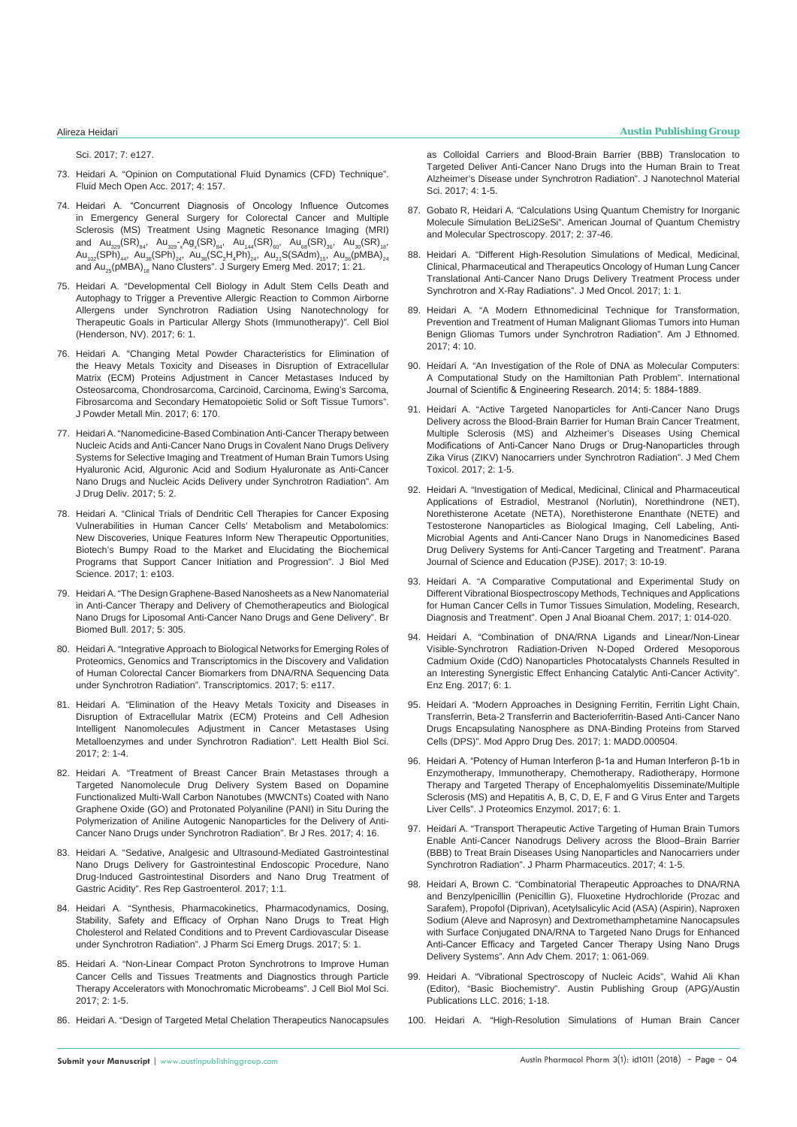[Sci. 2017; 7: e127.](https://www.omicsonline.org/peer-reviewed/a-novel-approach-to-future-horizon-of-top-seven-biomedical-researchrntopics-to-watch-in-2017-alzheimers-ebola-hypersomnia-humanrni-90106.html)

- 73. [Heidari A. "Opinion on Computational Fluid Dynamics \(CFD\) Technique".](https://www.omicsonline.org/open-access/opinion-on-computational-fluid-dynamics-cfd-technique-2476-2296-1000157.php?aid=90181)  [Fluid Mech Open Acc. 2017; 4: 157.](https://www.omicsonline.org/open-access/opinion-on-computational-fluid-dynamics-cfd-technique-2476-2296-1000157.php?aid=90181)
- 74. [Heidari A. "Concurrent Diagnosis of Oncology Influence Outcomes](https://www.imedpub.com/articles/concurrent-diagnosis-of-oncology-influence-outcomes-in-emergency-general-surgery-for-colorectal-cancer-and-multiple-sclerosis-ms-t.php?aid=19614)  [in Emergency General Surgery for Colorectal Cancer and Multiple](https://www.imedpub.com/articles/concurrent-diagnosis-of-oncology-influence-outcomes-in-emergency-general-surgery-for-colorectal-cancer-and-multiple-sclerosis-ms-t.php?aid=19614)  [Sclerosis \(MS\) Treatment Using Magnetic Resonance Imaging \(MRI\)](https://www.imedpub.com/articles/concurrent-diagnosis-of-oncology-influence-outcomes-in-emergency-general-surgery-for-colorectal-cancer-and-multiple-sclerosis-ms-t.php?aid=19614)  and  ${\sf Au}_{_{329}}({\sf SR})_{_{84}},$   ${\sf Au}_{_{329}}$ - $_{\rm x}$ Ag $_{\rm x}({\sf SR})_{_{84}},$   ${\sf Au}_{_{144}}({\sf SR})_{_{60}},$   ${\sf Au}_{_{68}}({\sf SR})_{_{36}},$   ${\sf Au}_{_{30}}({\sf SR})_{_{18}},$  ${\sf Au}_{_{102}}$ (SPh) $_{_{44}},\;$  Au $_{_{38}}$ (SPh) $_{_{24}},\;$  Au $_{_{38}}$ (SC $_{2}$ H $_{4}$ Ph) $_{_{24}},\;$  Au $_{_{21}}$ S(SAdm) $_{_{15}},\;$  Au $_{_{36}}$ (pMBA) $_{_{24}}$ and Au<sub>25</sub>(pMBA)<sub>18</sub> Nano Clusters". J Surgery Emerg Med. 2017; 1: 21.
- 75. [Heidari A. "Developmental Cell Biology in Adult Stem Cells Death and](https://www.scitechnol.com/peer-review/developmental-cell-biology-in-adult-stem-cells-death-and-autophagy-to-trigger-a-preventive-allergic-reaction-to-common-airborne-al-UR9x.php?article_id=6166)  [Autophagy to Trigger a Preventive Allergic Reaction to Common Airborne](https://www.scitechnol.com/peer-review/developmental-cell-biology-in-adult-stem-cells-death-and-autophagy-to-trigger-a-preventive-allergic-reaction-to-common-airborne-al-UR9x.php?article_id=6166)  [Allergens under Synchrotron Radiation Using Nanotechnology for](https://www.scitechnol.com/peer-review/developmental-cell-biology-in-adult-stem-cells-death-and-autophagy-to-trigger-a-preventive-allergic-reaction-to-common-airborne-al-UR9x.php?article_id=6166)  [Therapeutic Goals in Particular Allergy Shots \(Immunotherapy\)". Cell Biol](https://www.scitechnol.com/peer-review/developmental-cell-biology-in-adult-stem-cells-death-and-autophagy-to-trigger-a-preventive-allergic-reaction-to-common-airborne-al-UR9x.php?article_id=6166)  [\(Henderson, NV\). 2017; 6: 1.](https://www.scitechnol.com/peer-review/developmental-cell-biology-in-adult-stem-cells-death-and-autophagy-to-trigger-a-preventive-allergic-reaction-to-common-airborne-al-UR9x.php?article_id=6166)
- 76. [Heidari A. "Changing Metal Powder Characteristics for Elimination of](https://www.omicsonline.org/open-access/changing-metal-powder-characteristics-for-elimination-of-the-heavymetals-toxicity-and-diseases-in-disruption-of-extracellular-matr-2168-9806-1000170.php?aid=91151)  [the Heavy Metals Toxicity and Diseases in Disruption of Extracellular](https://www.omicsonline.org/open-access/changing-metal-powder-characteristics-for-elimination-of-the-heavymetals-toxicity-and-diseases-in-disruption-of-extracellular-matr-2168-9806-1000170.php?aid=91151)  [Matrix \(ECM\) Proteins Adjustment in Cancer Metastases Induced by](https://www.omicsonline.org/open-access/changing-metal-powder-characteristics-for-elimination-of-the-heavymetals-toxicity-and-diseases-in-disruption-of-extracellular-matr-2168-9806-1000170.php?aid=91151)  [Osteosarcoma, Chondrosarcoma, Carcinoid, Carcinoma, Ewing's Sarcoma,](https://www.omicsonline.org/open-access/changing-metal-powder-characteristics-for-elimination-of-the-heavymetals-toxicity-and-diseases-in-disruption-of-extracellular-matr-2168-9806-1000170.php?aid=91151)  [Fibrosarcoma and Secondary Hematopoietic Solid or Soft Tissue Tumors".](https://www.omicsonline.org/open-access/changing-metal-powder-characteristics-for-elimination-of-the-heavymetals-toxicity-and-diseases-in-disruption-of-extracellular-matr-2168-9806-1000170.php?aid=91151)  [J Powder Metall Min. 2017; 6: 170.](https://www.omicsonline.org/open-access/changing-metal-powder-characteristics-for-elimination-of-the-heavymetals-toxicity-and-diseases-in-disruption-of-extracellular-matr-2168-9806-1000170.php?aid=91151)
- 77. [Heidari A. "Nanomedicine-Based Combination Anti-Cancer Therapy between](http://www.imedpub.com/articles/nanomedicinebased-combination-anticancer-therapy-between-nucleic-acids-and-anticancer-nano-drugs-in-covalent-nano-drugs-delivery-s.php?aid=19819)  [Nucleic Acids and Anti-Cancer Nano Drugs in Covalent Nano Drugs Delivery](http://www.imedpub.com/articles/nanomedicinebased-combination-anticancer-therapy-between-nucleic-acids-and-anticancer-nano-drugs-in-covalent-nano-drugs-delivery-s.php?aid=19819)  [Systems for Selective Imaging and Treatment of Human Brain Tumors Using](http://www.imedpub.com/articles/nanomedicinebased-combination-anticancer-therapy-between-nucleic-acids-and-anticancer-nano-drugs-in-covalent-nano-drugs-delivery-s.php?aid=19819)  [Hyaluronic Acid, Alguronic Acid and Sodium Hyaluronate as Anti-Cancer](http://www.imedpub.com/articles/nanomedicinebased-combination-anticancer-therapy-between-nucleic-acids-and-anticancer-nano-drugs-in-covalent-nano-drugs-delivery-s.php?aid=19819)  [Nano Drugs and Nucleic Acids Delivery under Synchrotron Radiation". Am](http://www.imedpub.com/articles/nanomedicinebased-combination-anticancer-therapy-between-nucleic-acids-and-anticancer-nano-drugs-in-covalent-nano-drugs-delivery-s.php?aid=19819)  [J Drug Deliv. 2017; 5: 2.](http://www.imedpub.com/articles/nanomedicinebased-combination-anticancer-therapy-between-nucleic-acids-and-anticancer-nano-drugs-in-covalent-nano-drugs-delivery-s.php?aid=19819)
- 78. [Heidari A. "Clinical Trials of Dendritic Cell Therapies for Cancer Exposing](https://www.omicsonline.org/open-access/clinical-trials-of-dendritic-cell-therapies-for-cancer-exposing-vulnerabilities-in-human-cancer-cells-metabolism-and-metabolomics.php?aid=90179)  [Vulnerabilities in Human Cancer Cells' Metabolism and Metabolomics:](https://www.omicsonline.org/open-access/clinical-trials-of-dendritic-cell-therapies-for-cancer-exposing-vulnerabilities-in-human-cancer-cells-metabolism-and-metabolomics.php?aid=90179)  [New Discoveries, Unique Features Inform New Therapeutic Opportunities,](https://www.omicsonline.org/open-access/clinical-trials-of-dendritic-cell-therapies-for-cancer-exposing-vulnerabilities-in-human-cancer-cells-metabolism-and-metabolomics.php?aid=90179)  [Biotech's Bumpy Road to the Market and Elucidating the Biochemical](https://www.omicsonline.org/open-access/clinical-trials-of-dendritic-cell-therapies-for-cancer-exposing-vulnerabilities-in-human-cancer-cells-metabolism-and-metabolomics.php?aid=90179)  [Programs that Support Cancer Initiation and Progression". J Biol Med](https://www.omicsonline.org/open-access/clinical-trials-of-dendritic-cell-therapies-for-cancer-exposing-vulnerabilities-in-human-cancer-cells-metabolism-and-metabolomics.php?aid=90179)  [Science. 2017; 1: e103.](https://www.omicsonline.org/open-access/clinical-trials-of-dendritic-cell-therapies-for-cancer-exposing-vulnerabilities-in-human-cancer-cells-metabolism-and-metabolomics.php?aid=90179)
- 79. [Heidari A. "The Design Graphene-Based Nanosheets as a New Nanomaterial](http://www.imedpub.com/articles/the-design-graphenebased-nanosheets-as-a-new-nanomaterial-in-anticancertherapy-and-delivery-of-chemotherapeutics-and-biological-na.php?aid=19870)  [in Anti-Cancer Therapy and Delivery of Chemotherapeutics and Biological](http://www.imedpub.com/articles/the-design-graphenebased-nanosheets-as-a-new-nanomaterial-in-anticancertherapy-and-delivery-of-chemotherapeutics-and-biological-na.php?aid=19870)  [Nano Drugs for Liposomal Anti-Cancer Nano Drugs and Gene Delivery". Br](http://www.imedpub.com/articles/the-design-graphenebased-nanosheets-as-a-new-nanomaterial-in-anticancertherapy-and-delivery-of-chemotherapeutics-and-biological-na.php?aid=19870)  [Biomed Bull. 2017; 5: 305.](http://www.imedpub.com/articles/the-design-graphenebased-nanosheets-as-a-new-nanomaterial-in-anticancertherapy-and-delivery-of-chemotherapeutics-and-biological-na.php?aid=19870)
- 80. [Heidari A. "Integrative Approach to Biological Networks for Emerging Roles of](https://www.omicsonline.org/open-access/integrative-approach-to-biological-networks-for-emerging-roles-ofproteomics-genomics-and-transcriptomics-in-the-discovery-and-vali-2329-8936-1000e117.pdf)  [Proteomics, Genomics and Transcriptomics in the Discovery and Validation](https://www.omicsonline.org/open-access/integrative-approach-to-biological-networks-for-emerging-roles-ofproteomics-genomics-and-transcriptomics-in-the-discovery-and-vali-2329-8936-1000e117.pdf)  [of Human Colorectal Cancer Biomarkers from DNA/RNA Sequencing Data](https://www.omicsonline.org/open-access/integrative-approach-to-biological-networks-for-emerging-roles-ofproteomics-genomics-and-transcriptomics-in-the-discovery-and-vali-2329-8936-1000e117.pdf)  [under Synchrotron Radiation". Transcriptomics. 2017; 5: e117.](https://www.omicsonline.org/open-access/integrative-approach-to-biological-networks-for-emerging-roles-ofproteomics-genomics-and-transcriptomics-in-the-discovery-and-vali-2329-8936-1000e117.pdf)
- 81. [Heidari A. "Elimination of the Heavy Metals Toxicity and Diseases in](https://www.ommegaonline.org/article-details/Elimination-of-the-Heavy-Metals-Toxicity-and-Diseases-in-Disruption-of-Extracellular-Matrix-ECM-Proteins-and-Cell-Adhesion-Intelligent-Nanomolecules-Adjustment-in-Cancer-Metastases-Using-Metalloenzymes-and-under)  [Disruption of Extracellular Matrix \(ECM\) Proteins and Cell Adhesion](https://www.ommegaonline.org/article-details/Elimination-of-the-Heavy-Metals-Toxicity-and-Diseases-in-Disruption-of-Extracellular-Matrix-ECM-Proteins-and-Cell-Adhesion-Intelligent-Nanomolecules-Adjustment-in-Cancer-Metastases-Using-Metalloenzymes-and-under)  [Intelligent Nanomolecules Adjustment in Cancer Metastases Using](https://www.ommegaonline.org/article-details/Elimination-of-the-Heavy-Metals-Toxicity-and-Diseases-in-Disruption-of-Extracellular-Matrix-ECM-Proteins-and-Cell-Adhesion-Intelligent-Nanomolecules-Adjustment-in-Cancer-Metastases-Using-Metalloenzymes-and-under)  [Metalloenzymes and under Synchrotron Radiation". Lett Health Biol Sci.](https://www.ommegaonline.org/article-details/Elimination-of-the-Heavy-Metals-Toxicity-and-Diseases-in-Disruption-of-Extracellular-Matrix-ECM-Proteins-and-Cell-Adhesion-Intelligent-Nanomolecules-Adjustment-in-Cancer-Metastases-Using-Metalloenzymes-and-under)  [2017; 2: 1-4.](https://www.ommegaonline.org/article-details/Elimination-of-the-Heavy-Metals-Toxicity-and-Diseases-in-Disruption-of-Extracellular-Matrix-ECM-Proteins-and-Cell-Adhesion-Intelligent-Nanomolecules-Adjustment-in-Cancer-Metastases-Using-Metalloenzymes-and-under)
- 82. [Heidari A. "Treatment of Breast Cancer Brain Metastases through a](http://www.imedpub.com/articles/treatment-of-breast-cancer-brain-metastases-through-a-targeted-nanomoleculedrug-delivery-system-based-on-dopamine-functionalized-m.php?aid=19806)  [Targeted Nanomolecule Drug Delivery System Based on Dopamine](http://www.imedpub.com/articles/treatment-of-breast-cancer-brain-metastases-through-a-targeted-nanomoleculedrug-delivery-system-based-on-dopamine-functionalized-m.php?aid=19806)  [Functionalized Multi-Wall Carbon Nanotubes \(MWCNTs\) Coated with Nano](http://www.imedpub.com/articles/treatment-of-breast-cancer-brain-metastases-through-a-targeted-nanomoleculedrug-delivery-system-based-on-dopamine-functionalized-m.php?aid=19806)  [Graphene Oxide \(GO\) and Protonated Polyaniline \(PANI\) in Situ During the](http://www.imedpub.com/articles/treatment-of-breast-cancer-brain-metastases-through-a-targeted-nanomoleculedrug-delivery-system-based-on-dopamine-functionalized-m.php?aid=19806)  [Polymerization of Aniline Autogenic Nanoparticles for the Delivery of Anti-](http://www.imedpub.com/articles/treatment-of-breast-cancer-brain-metastases-through-a-targeted-nanomoleculedrug-delivery-system-based-on-dopamine-functionalized-m.php?aid=19806)[Cancer Nano Drugs under Synchrotron Radiation". Br J Res. 2017; 4: 16.](http://www.imedpub.com/articles/treatment-of-breast-cancer-brain-metastases-through-a-targeted-nanomoleculedrug-delivery-system-based-on-dopamine-functionalized-m.php?aid=19806)
- 83. Heidari A. "Sedative, Analgesic and Ultrasound-Mediated Gastrointestinal Nano Drugs Delivery for Gastrointestinal Endoscopic Procedure, Nano Drug-Induced Gastrointestinal Disorders and Nano Drug Treatment of Gastric Acidity". Res Rep Gastroenterol. 2017; 1:1.
- 84. [Heidari A. "Synthesis, Pharmacokinetics, Pharmacodynamics, Dosing,](https://www.scitechnol.com/peer-review/synthesis-pharmacokinetics-pharmacodynamics-dosing-stability-safety-and-efficacy-of-orphan-nano-drugs-to-treat-high-cholesterol-an-yxsX.php?article_id=6404)  [Stability, Safety and Efficacy of Orphan Nano Drugs to Treat High](https://www.scitechnol.com/peer-review/synthesis-pharmacokinetics-pharmacodynamics-dosing-stability-safety-and-efficacy-of-orphan-nano-drugs-to-treat-high-cholesterol-an-yxsX.php?article_id=6404)  [Cholesterol and Related Conditions and to Prevent Cardiovascular Disease](https://www.scitechnol.com/peer-review/synthesis-pharmacokinetics-pharmacodynamics-dosing-stability-safety-and-efficacy-of-orphan-nano-drugs-to-treat-high-cholesterol-an-yxsX.php?article_id=6404)  [under Synchrotron Radiation". J Pharm Sci Emerg Drugs. 2017; 5: 1.](https://www.scitechnol.com/peer-review/synthesis-pharmacokinetics-pharmacodynamics-dosing-stability-safety-and-efficacy-of-orphan-nano-drugs-to-treat-high-cholesterol-an-yxsX.php?article_id=6404)
- 85. [Heidari A. "Non-Linear Compact Proton Synchrotrons to Improve Human](https://www.ommegaonline.org/article-details/Non%E2%80%93Linear-Compact-Proton-Synchrotrons-to-Improve-Human-Cancer-Cells-and-Tissues-Treatments-and-Diagnostics-through-Particle-Therapy-Accelerators-with-Monochromatic-Microbeams/1631)  [Cancer Cells and Tissues Treatments and Diagnostics through Particle](https://www.ommegaonline.org/article-details/Non%E2%80%93Linear-Compact-Proton-Synchrotrons-to-Improve-Human-Cancer-Cells-and-Tissues-Treatments-and-Diagnostics-through-Particle-Therapy-Accelerators-with-Monochromatic-Microbeams/1631)  [Therapy Accelerators with Monochromatic Microbeams". J Cell Biol Mol Sci.](https://www.ommegaonline.org/article-details/Non%E2%80%93Linear-Compact-Proton-Synchrotrons-to-Improve-Human-Cancer-Cells-and-Tissues-Treatments-and-Diagnostics-through-Particle-Therapy-Accelerators-with-Monochromatic-Microbeams/1631)  [2017; 2: 1-5.](https://www.ommegaonline.org/article-details/Non%E2%80%93Linear-Compact-Proton-Synchrotrons-to-Improve-Human-Cancer-Cells-and-Tissues-Treatments-and-Diagnostics-through-Particle-Therapy-Accelerators-with-Monochromatic-Microbeams/1631)
- 86. [Heidari A. "Design of Targeted Metal Chelation Therapeutics Nanocapsules](https://www.ommegaonline.org/article-details/Design of Targeted Metal Chelation Therapeutics Nanocapsules as Colloidal Carriers and Blood-Brain Barrier (BBB) Translocation to Targeted Deliver Anti-Cancer Nano Drugs%252)

[as Colloidal Carriers and Blood-Brain Barrier \(BBB\) Translocation to](https://www.ommegaonline.org/article-details/Design of Targeted Metal Chelation Therapeutics Nanocapsules as Colloidal Carriers and Blood-Brain Barrier (BBB) Translocation to Targeted Deliver Anti-Cancer Nano Drugs%252)  [Targeted Deliver Anti-Cancer Nano Drugs into the Human Brain to Treat](https://www.ommegaonline.org/article-details/Design of Targeted Metal Chelation Therapeutics Nanocapsules as Colloidal Carriers and Blood-Brain Barrier (BBB) Translocation to Targeted Deliver Anti-Cancer Nano Drugs%252)  [Alzheimer's Disease under Synchrotron Radiation". J Nanotechnol Material](https://www.ommegaonline.org/article-details/Design of Targeted Metal Chelation Therapeutics Nanocapsules as Colloidal Carriers and Blood-Brain Barrier (BBB) Translocation to Targeted Deliver Anti-Cancer Nano Drugs%252)  [Sci. 2017; 4: 1-5.](https://www.ommegaonline.org/article-details/Design of Targeted Metal Chelation Therapeutics Nanocapsules as Colloidal Carriers and Blood-Brain Barrier (BBB) Translocation to Targeted Deliver Anti-Cancer Nano Drugs%252)

- 87. [Gobato R, Heidari A. "Calculations Using Quantum Chemistry for Inorganic](https://www.researchgate.net/publication/319330189_Calculations_Using_Quantum_Chemistry_for_Inorganic_Molecule_Simulation_BeLi_2_SeSi)  [Molecule Simulation BeLi2SeSi". American Journal of Quantum Chemistry](https://www.researchgate.net/publication/319330189_Calculations_Using_Quantum_Chemistry_for_Inorganic_Molecule_Simulation_BeLi_2_SeSi)  [and Molecular Spectroscopy. 2017; 2: 37-46.](https://www.researchgate.net/publication/319330189_Calculations_Using_Quantum_Chemistry_for_Inorganic_Molecule_Simulation_BeLi_2_SeSi)
- 88. [Heidari A. "Different High-Resolution Simulations of Medical, Medicinal,](http://www.imedpub.com/articles/highresolution-simulations-of-medical-medicinal-and-therapeutics-oncology-of-human-lung-cancer-translational-nano-drugs-delivery-t.pdf)  [Clinical, Pharmaceutical and Therapeutics Oncology of Human Lung Cancer](http://www.imedpub.com/articles/highresolution-simulations-of-medical-medicinal-and-therapeutics-oncology-of-human-lung-cancer-translational-nano-drugs-delivery-t.pdf)  [Translational Anti-Cancer Nano Drugs Delivery Treatment Process under](http://www.imedpub.com/articles/highresolution-simulations-of-medical-medicinal-and-therapeutics-oncology-of-human-lung-cancer-translational-nano-drugs-delivery-t.pdf)  [Synchrotron and X-Ray Radiations". J Med Oncol. 2017; 1: 1.](http://www.imedpub.com/articles/highresolution-simulations-of-medical-medicinal-and-therapeutics-oncology-of-human-lung-cancer-translational-nano-drugs-delivery-t.pdf)
- 89. [Heidari A. "A Modern Ethnomedicinal Technique for Transformation,](http://www.imedpub.com/articles/a-modern-ethnomedicinal-technique-fortransformation-prevention-and-treatmentof-human-malignant-gliomas-tumors-intohuman-benign-gli.php?aid=20331)  [Prevention and Treatment of Human Malignant Gliomas Tumors into Human](http://www.imedpub.com/articles/a-modern-ethnomedicinal-technique-fortransformation-prevention-and-treatmentof-human-malignant-gliomas-tumors-intohuman-benign-gli.php?aid=20331)  [Benign Gliomas Tumors under Synchrotron Radiation". Am J Ethnomed.](http://www.imedpub.com/articles/a-modern-ethnomedicinal-technique-fortransformation-prevention-and-treatmentof-human-malignant-gliomas-tumors-intohuman-benign-gli.php?aid=20331)  [2017; 4: 10.](http://www.imedpub.com/articles/a-modern-ethnomedicinal-technique-fortransformation-prevention-and-treatmentof-human-malignant-gliomas-tumors-intohuman-benign-gli.php?aid=20331)
- 90. [Heidari A. "An Investigation of the Role of DNA as Molecular Computers:](https://www.ijser.org/researchpaper/An-investigation-of-the-role-of-DNA-as-molecular-computers.pdf)  [A Computational Study on the Hamiltonian Path Problem". International](https://www.ijser.org/researchpaper/An-investigation-of-the-role-of-DNA-as-molecular-computers.pdf)  [Journal of Scientific & Engineering Research. 2014; 5: 1884-1889.](https://www.ijser.org/researchpaper/An-investigation-of-the-role-of-DNA-as-molecular-computers.pdf)
- 91. [Heidari A. "Active Targeted Nanoparticles for Anti-Cancer Nano Drugs](https://www.ommegaonline.org/article-details/Active-Targeted-Nanoparticles-for-AntiBrain-Barrier-for-Human-Brain-Cancer-Treatment,-Multiple-Sclerosis-(MS)-and-Alzheimer)  [Delivery across the Blood-Brain Barrier for Human Brain Cancer Treatment,](https://www.ommegaonline.org/article-details/Active-Targeted-Nanoparticles-for-AntiBrain-Barrier-for-Human-Brain-Cancer-Treatment,-Multiple-Sclerosis-(MS)-and-Alzheimer)  [Multiple Sclerosis \(MS\) and Alzheimer's Diseases Using Chemical](https://www.ommegaonline.org/article-details/Active-Targeted-Nanoparticles-for-AntiBrain-Barrier-for-Human-Brain-Cancer-Treatment,-Multiple-Sclerosis-(MS)-and-Alzheimer)  [Modifications of Anti-Cancer Nano Drugs or Drug-Nanoparticles through](https://www.ommegaonline.org/article-details/Active-Targeted-Nanoparticles-for-AntiBrain-Barrier-for-Human-Brain-Cancer-Treatment,-Multiple-Sclerosis-(MS)-and-Alzheimer)  [Zika Virus \(ZIKV\) Nanocarriers under Synchrotron Radiation". J Med Chem](https://www.ommegaonline.org/article-details/Active-Targeted-Nanoparticles-for-AntiBrain-Barrier-for-Human-Brain-Cancer-Treatment,-Multiple-Sclerosis-(MS)-and-Alzheimer)  [Toxicol. 2017; 2: 1-5.](https://www.ommegaonline.org/article-details/Active-Targeted-Nanoparticles-for-AntiBrain-Barrier-for-Human-Brain-Cancer-Treatment,-Multiple-Sclerosis-(MS)-and-Alzheimer)
- 92. [Heidari A. "Investigation of Medical, Medicinal, Clinical and Pharmaceutical](https://drive.google.com/file/d/0BxkqIa7R4j_ReHpZNVlaS2JWZXM/view)  [Applications of Estradiol, Mestranol \(Norlutin\), Norethindrone \(NET\),](https://drive.google.com/file/d/0BxkqIa7R4j_ReHpZNVlaS2JWZXM/view)  [Norethisterone Acetate \(NETA\), Norethisterone Enanthate \(NETE\) and](https://drive.google.com/file/d/0BxkqIa7R4j_ReHpZNVlaS2JWZXM/view)  [Testosterone Nanoparticles as Biological Imaging, Cell Labeling, Anti-](https://drive.google.com/file/d/0BxkqIa7R4j_ReHpZNVlaS2JWZXM/view)[Microbial Agents and Anti-Cancer Nano Drugs in Nanomedicines Based](https://drive.google.com/file/d/0BxkqIa7R4j_ReHpZNVlaS2JWZXM/view)  [Drug Delivery Systems for Anti-Cancer Targeting and Treatment". Parana](https://drive.google.com/file/d/0BxkqIa7R4j_ReHpZNVlaS2JWZXM/view)  [Journal of Science and Education \(PJSE\). 2017; 3: 10-19.](https://drive.google.com/file/d/0BxkqIa7R4j_ReHpZNVlaS2JWZXM/view)
- 93. [Heidari A. "A Comparative Computational and Experimental Study on](https://www.peertechz.com/articles/a-comparative-computational-and-experimental-study-on-different-vibrational-biospectroscopy-methods-techniques-and-applications-for-human-cancer-cells-in-tumor-tissues-simulation-modeling-research-diagnosis-and-treatment.)  [Different Vibrational Biospectroscopy Methods, Techniques and Applications](https://www.peertechz.com/articles/a-comparative-computational-and-experimental-study-on-different-vibrational-biospectroscopy-methods-techniques-and-applications-for-human-cancer-cells-in-tumor-tissues-simulation-modeling-research-diagnosis-and-treatment.)  [for Human Cancer Cells in Tumor Tissues Simulation, Modeling, Research,](https://www.peertechz.com/articles/a-comparative-computational-and-experimental-study-on-different-vibrational-biospectroscopy-methods-techniques-and-applications-for-human-cancer-cells-in-tumor-tissues-simulation-modeling-research-diagnosis-and-treatment.)  [Diagnosis and Treatment". Open J Anal Bioanal Chem. 2017; 1: 014-020.](https://www.peertechz.com/articles/a-comparative-computational-and-experimental-study-on-different-vibrational-biospectroscopy-methods-techniques-and-applications-for-human-cancer-cells-in-tumor-tissues-simulation-modeling-research-diagnosis-and-treatment.)
- 94. [Heidari A. "Combination of DNA/RNA Ligands and Linear/Non-Linear](https://www.omicsonline.org/open-access/combination-of-dnarna-ligands-and-linearnonlinear-visiblesynchrotron-radiationdriven-ndoped-ordered-mesoporouscadmium-oxide-cdo-na-2329-6674-1000160.pdf)  [Visible-Synchrotron Radiation-Driven N-Doped Ordered Mesoporous](https://www.omicsonline.org/open-access/combination-of-dnarna-ligands-and-linearnonlinear-visiblesynchrotron-radiationdriven-ndoped-ordered-mesoporouscadmium-oxide-cdo-na-2329-6674-1000160.pdf)  [Cadmium Oxide \(CdO\) Nanoparticles Photocatalysts Channels Resulted in](https://www.omicsonline.org/open-access/combination-of-dnarna-ligands-and-linearnonlinear-visiblesynchrotron-radiationdriven-ndoped-ordered-mesoporouscadmium-oxide-cdo-na-2329-6674-1000160.pdf)  [an Interesting Synergistic Effect Enhancing Catalytic Anti-Cancer Activity".](https://www.omicsonline.org/open-access/combination-of-dnarna-ligands-and-linearnonlinear-visiblesynchrotron-radiationdriven-ndoped-ordered-mesoporouscadmium-oxide-cdo-na-2329-6674-1000160.pdf)  [Enz Eng. 2017; 6: 1.](https://www.omicsonline.org/open-access/combination-of-dnarna-ligands-and-linearnonlinear-visiblesynchrotron-radiationdriven-ndoped-ordered-mesoporouscadmium-oxide-cdo-na-2329-6674-1000160.pdf)
- 95. [Heidari A. "Modern Approaches in Designing Ferritin, Ferritin Light Chain,](http://crimsonpublishers.com/madd/pdf/MADD.000504.pdf)  [Transferrin, Beta-2 Transferrin and Bacterioferritin-Based Anti-Cancer Nano](http://crimsonpublishers.com/madd/pdf/MADD.000504.pdf)  [Drugs Encapsulating Nanosphere as DNA-Binding Proteins from Starved](http://crimsonpublishers.com/madd/pdf/MADD.000504.pdf)  [Cells \(DPS\)". Mod Appro Drug Des. 2017; 1: MADD.000504.](http://crimsonpublishers.com/madd/pdf/MADD.000504.pdf)
- 96. [Heidari A. "Potency of Human Interferon β-1a and Human Interferon β-1b in](https://www.scitechnol.com/peer-review/potency-of-human-interferon-1a-and-human-interferon-1b-in-enzymotherapy-immunotherapy-chemotherapy-radiotherapy-hormone-therapy-an-C0ib.php?article_id=6180)  [Enzymotherapy, Immunotherapy, Chemotherapy, Radiotherapy, Hormone](https://www.scitechnol.com/peer-review/potency-of-human-interferon-1a-and-human-interferon-1b-in-enzymotherapy-immunotherapy-chemotherapy-radiotherapy-hormone-therapy-an-C0ib.php?article_id=6180)  [Therapy and Targeted Therapy of Encephalomyelitis Disseminate/Multiple](https://www.scitechnol.com/peer-review/potency-of-human-interferon-1a-and-human-interferon-1b-in-enzymotherapy-immunotherapy-chemotherapy-radiotherapy-hormone-therapy-an-C0ib.php?article_id=6180)  [Sclerosis \(MS\) and Hepatitis A, B, C, D, E, F and G Virus Enter and Targets](https://www.scitechnol.com/peer-review/potency-of-human-interferon-1a-and-human-interferon-1b-in-enzymotherapy-immunotherapy-chemotherapy-radiotherapy-hormone-therapy-an-C0ib.php?article_id=6180)  [Liver Cells". J Proteomics Enzymol. 2017; 6: 1.](https://www.scitechnol.com/peer-review/potency-of-human-interferon-1a-and-human-interferon-1b-in-enzymotherapy-immunotherapy-chemotherapy-radiotherapy-hormone-therapy-an-C0ib.php?article_id=6180)
- 97. [Heidari A. "Transport Therapeutic Active Targeting of Human Brain Tumors](http://paper.researchbib.com/view/paper/142875)  [Enable Anti-Cancer Nanodrugs Delivery across the Blood–Brain Barrier](http://paper.researchbib.com/view/paper/142875)  [\(BBB\) to Treat Brain Diseases Using Nanoparticles and Nanocarriers under](http://paper.researchbib.com/view/paper/142875)  [Synchrotron Radiation". J Pharm Pharmaceutics. 2017; 4: 1-5.](http://paper.researchbib.com/view/paper/142875)
- 98. [Heidari A, Brown C. "Combinatorial Therapeutic Approaches to DNA/RNA](https://www.heighpubs.org/hjc/aac-aid1008.php)  [and Benzylpenicillin \(Penicillin G\), Fluoxetine Hydrochloride \(Prozac and](https://www.heighpubs.org/hjc/aac-aid1008.php)  [Sarafem\), Propofol \(Diprivan\), Acetylsalicylic Acid \(ASA\) \(Aspirin\), Naproxen](https://www.heighpubs.org/hjc/aac-aid1008.php)  [Sodium \(Aleve and Naprosyn\) and Dextromethamphetamine Nanocapsules](https://www.heighpubs.org/hjc/aac-aid1008.php)  [with Surface Conjugated DNA/RNA to Targeted Nano Drugs for Enhanced](https://www.heighpubs.org/hjc/aac-aid1008.php)  [Anti-Cancer Efficacy and Targeted Cancer Therapy Using Nano Drugs](https://www.heighpubs.org/hjc/aac-aid1008.php)  [Delivery Systems". Ann Adv Chem. 2017; 1: 061-069.](https://www.heighpubs.org/hjc/aac-aid1008.php)
- 99. [Heidari A. "Vibrational Spectroscopy of Nucleic Acids", Wahid Ali Khan](http://austinpublishinggroup.com/ebooks/basic-biochemistry/chapters/BBC-16-06.pdf)  [\(Editor\), "Basic Biochemistry". Austin Publishing Group \(APG\)/Austin](http://austinpublishinggroup.com/ebooks/basic-biochemistry/chapters/BBC-16-06.pdf)  [Publications LLC. 2016; 1-18.](http://austinpublishinggroup.com/ebooks/basic-biochemistry/chapters/BBC-16-06.pdf)
- 100. [Heidari A. "High-Resolution Simulations of Human Brain Cancer](http://www.alliedacademies.org/articles/highresolution-simulations-of-human-brain-cancer-translational-nano-drugs-delivery-treatment-process-under-synchrotron-radiation.p.pdf)